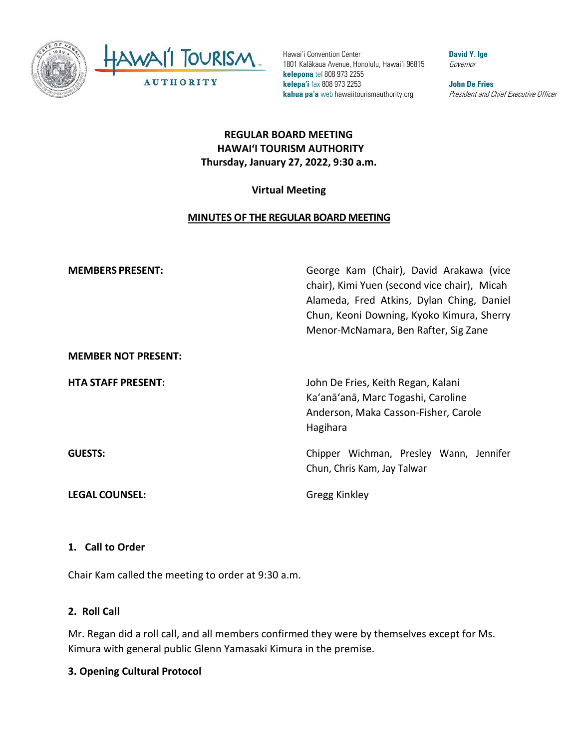

Hawai'i Convention Center 1801 Kalākaua Avenue, Honolulu, Hawai'i 96815 **kelepona** tel 808 973 2255 **kelepa'i** fax 808 973 2253 **kahua pa'a** web hawaiitourismauthority.org

**David Y. Ige** Governor

**John De Fries** President and Chief Executive Officer

## **REGULAR BOARD MEETING HAWAI'I TOURISM AUTHORITY Thursday, January 27, 2022, 9:30 a.m.**

## **Virtual Meeting**

## **MINUTES OF THE REGULAR BOARD MEETING**

| <b>MEMBERS PRESENT:</b>    | George Kam (Chair), David Arakawa (vice<br>chair), Kimi Yuen (second vice chair), Micah<br>Alameda, Fred Atkins, Dylan Ching, Daniel<br>Chun, Keoni Downing, Kyoko Kimura, Sherry<br>Menor-McNamara, Ben Rafter, Sig Zane |
|----------------------------|---------------------------------------------------------------------------------------------------------------------------------------------------------------------------------------------------------------------------|
| <b>MEMBER NOT PRESENT:</b> |                                                                                                                                                                                                                           |
| <b>HTA STAFF PRESENT:</b>  | John De Fries, Keith Regan, Kalani<br>Ka'anā'anā, Marc Togashi, Caroline<br>Anderson, Maka Casson-Fisher, Carole<br>Hagihara                                                                                              |
| <b>GUESTS:</b>             | Chipper Wichman, Presley Wann, Jennifer<br>Chun, Chris Kam, Jay Talwar                                                                                                                                                    |
| <b>LEGAL COUNSEL:</b>      | Gregg Kinkley                                                                                                                                                                                                             |

#### **1. Call to Order**

Chair Kam called the meeting to order at 9:30 a.m.

#### **2. Roll Call**

Mr. Regan did a roll call, and all members confirmed they were by themselves except for Ms. Kimura with general public Glenn Yamasaki Kimura in the premise.

#### **3. Opening Cultural Protocol**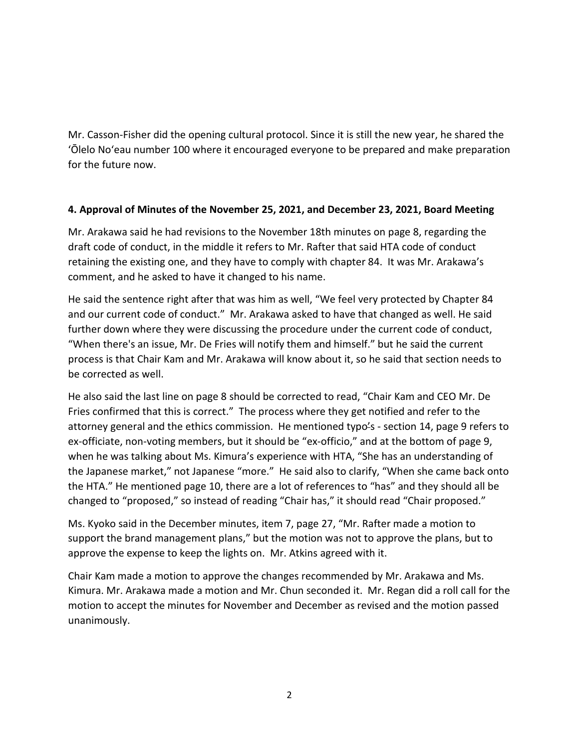Mr. Casson-Fisher did the opening cultural protocol. Since it is still the new year, he shared the 'Ōlelo No'eau number 100 where it encouraged everyone to be prepared and make preparation for the future now.

#### **4. Approval of Minutes of the November 25, 2021, and December 23, 2021, Board Meeting**

Mr. Arakawa said he had revisions to the November 18th minutes on page 8, regarding the draft code of conduct, in the middle it refers to Mr. Rafter that said HTA code of conduct retaining the existing one, and they have to comply with chapter 84. It was Mr. Arakawa's comment, and he asked to have it changed to his name.

He said the sentence right after that was him as well, "We feel very protected by Chapter 84 and our current code of conduct." Mr. Arakawa asked to have that changed as well. He said further down where they were discussing the procedure under the current code of conduct, "When there's an issue, Mr. De Fries will notify them and himself." but he said the current process is that Chair Kam and Mr. Arakawa will know about it, so he said that section needs to be corrected as well.

He also said the last line on page 8 should be corrected to read, "Chair Kam and CEO Mr. De Fries confirmed that this is correct." The process where they get notified and refer to the attorney general and the ethics commission. He mentioned typo's - section 14, page 9 refers to ex-officiate, non-voting members, but it should be "ex-officio," and at the bottom of page 9, when he was talking about Ms. Kimura's experience with HTA, "She has an understanding of the Japanese market," not Japanese "more." He said also to clarify, "When she came back onto the HTA." He mentioned page 10, there are a lot of references to "has" and they should all be changed to "proposed," so instead of reading "Chair has," it should read "Chair proposed."

Ms. Kyoko said in the December minutes, item 7, page 27, "Mr. Rafter made a motion to support the brand management plans," but the motion was not to approve the plans, but to approve the expense to keep the lights on. Mr. Atkins agreed with it.

Chair Kam made a motion to approve the changes recommended by Mr. Arakawa and Ms. Kimura. Mr. Arakawa made a motion and Mr. Chun seconded it. Mr. Regan did a roll call for the motion to accept the minutes for November and December as revised and the motion passed unanimously.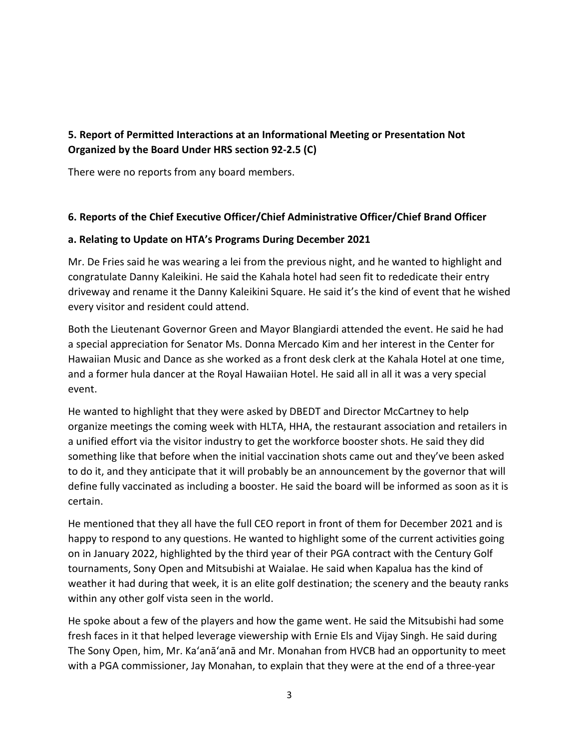# **5. Report of Permitted Interactions at an Informational Meeting or Presentation Not Organized by the Board Under HRS section 92-2.5 (C)**

There were no reports from any board members.

#### **6. Reports of the Chief Executive Officer/Chief Administrative Officer/Chief Brand Officer**

#### **a. Relating to Update on HTA's Programs During December 2021**

Mr. De Fries said he was wearing a lei from the previous night, and he wanted to highlight and congratulate Danny Kaleikini. He said the Kahala hotel had seen fit to rededicate their entry driveway and rename it the Danny Kaleikini Square. He said it's the kind of event that he wished every visitor and resident could attend.

Both the Lieutenant Governor Green and Mayor Blangiardi attended the event. He said he had a special appreciation for Senator Ms. Donna Mercado Kim and her interest in the Center for Hawaiian Music and Dance as she worked as a front desk clerk at the Kahala Hotel at one time, and a former hula dancer at the Royal Hawaiian Hotel. He said all in all it was a very special event.

He wanted to highlight that they were asked by DBEDT and Director McCartney to help organize meetings the coming week with HLTA, HHA, the restaurant association and retailers in a unified effort via the visitor industry to get the workforce booster shots. He said they did something like that before when the initial vaccination shots came out and they've been asked to do it, and they anticipate that it will probably be an announcement by the governor that will define fully vaccinated as including a booster. He said the board will be informed as soon as it is certain.

He mentioned that they all have the full CEO report in front of them for December 2021 and is happy to respond to any questions. He wanted to highlight some of the current activities going on in January 2022, highlighted by the third year of their PGA contract with the Century Golf tournaments, Sony Open and Mitsubishi at Waialae. He said when Kapalua has the kind of weather it had during that week, it is an elite golf destination; the scenery and the beauty ranks within any other golf vista seen in the world.

He spoke about a few of the players and how the game went. He said the Mitsubishi had some fresh faces in it that helped leverage viewership with Ernie Els and Vijay Singh. He said during The Sony Open, him, Mr. Ka'anā'anā and Mr. Monahan from HVCB had an opportunity to meet with a PGA commissioner, Jay Monahan, to explain that they were at the end of a three-year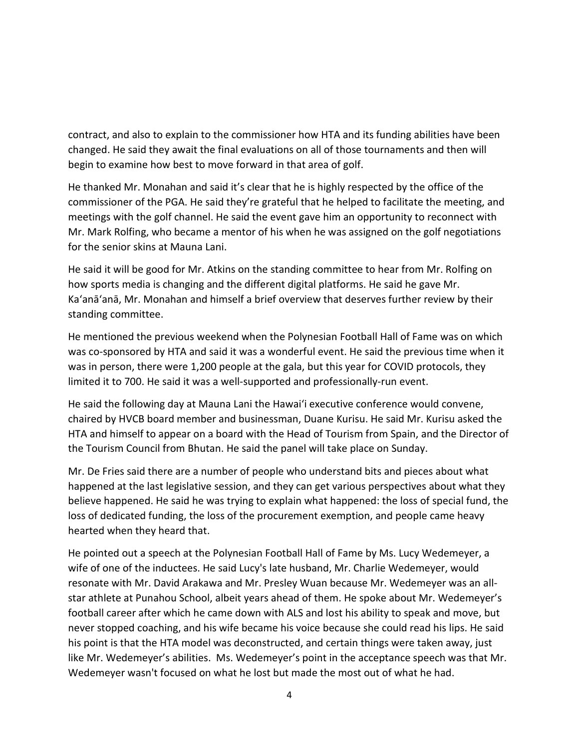contract, and also to explain to the commissioner how HTA and its funding abilities have been changed. He said they await the final evaluations on all of those tournaments and then will begin to examine how best to move forward in that area of golf.

He thanked Mr. Monahan and said it's clear that he is highly respected by the office of the commissioner of the PGA. He said they're grateful that he helped to facilitate the meeting, and meetings with the golf channel. He said the event gave him an opportunity to reconnect with Mr. Mark Rolfing, who became a mentor of his when he was assigned on the golf negotiations for the senior skins at Mauna Lani.

He said it will be good for Mr. Atkins on the standing committee to hear from Mr. Rolfing on how sports media is changing and the different digital platforms. He said he gave Mr. Ka'anā'anā, Mr. Monahan and himself a brief overview that deserves further review by their standing committee.

He mentioned the previous weekend when the Polynesian Football Hall of Fame was on which was co-sponsored by HTA and said it was a wonderful event. He said the previous time when it was in person, there were 1,200 people at the gala, but this year for COVID protocols, they limited it to 700. He said it was a well-supported and professionally-run event.

He said the following day at Mauna Lani the Hawai'i executive conference would convene, chaired by HVCB board member and businessman, Duane Kurisu. He said Mr. Kurisu asked the HTA and himself to appear on a board with the Head of Tourism from Spain, and the Director of the Tourism Council from Bhutan. He said the panel will take place on Sunday.

Mr. De Fries said there are a number of people who understand bits and pieces about what happened at the last legislative session, and they can get various perspectives about what they believe happened. He said he was trying to explain what happened: the loss of special fund, the loss of dedicated funding, the loss of the procurement exemption, and people came heavy hearted when they heard that.

He pointed out a speech at the Polynesian Football Hall of Fame by Ms. Lucy Wedemeyer, a wife of one of the inductees. He said Lucy's late husband, Mr. Charlie Wedemeyer, would resonate with Mr. David Arakawa and Mr. Presley Wuan because Mr. Wedemeyer was an allstar athlete at Punahou School, albeit years ahead of them. He spoke about Mr. Wedemeyer's football career after which he came down with ALS and lost his ability to speak and move, but never stopped coaching, and his wife became his voice because she could read his lips. He said his point is that the HTA model was deconstructed, and certain things were taken away, just like Mr. Wedemeyer's abilities. Ms. Wedemeyer's point in the acceptance speech was that Mr. Wedemeyer wasn't focused on what he lost but made the most out of what he had.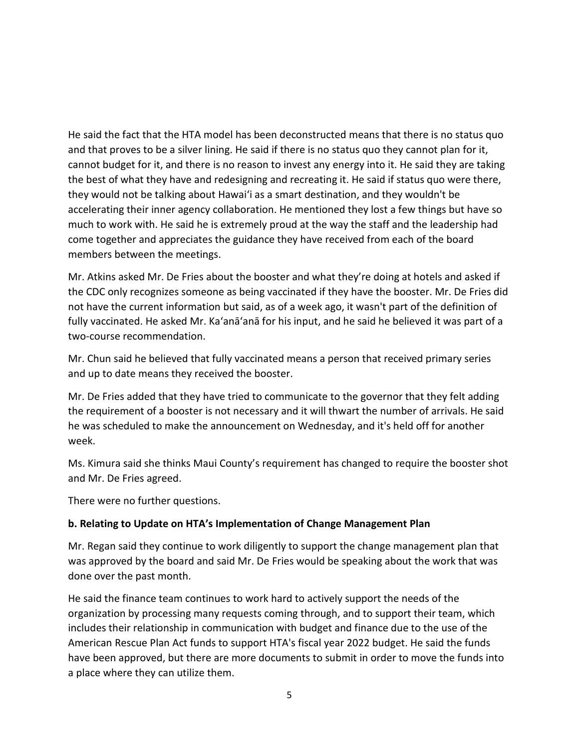He said the fact that the HTA model has been deconstructed means that there is no status quo and that proves to be a silver lining. He said if there is no status quo they cannot plan for it, cannot budget for it, and there is no reason to invest any energy into it. He said they are taking the best of what they have and redesigning and recreating it. He said if status quo were there, they would not be talking about Hawai'i as a smart destination, and they wouldn't be accelerating their inner agency collaboration. He mentioned they lost a few things but have so much to work with. He said he is extremely proud at the way the staff and the leadership had come together and appreciates the guidance they have received from each of the board members between the meetings.

Mr. Atkins asked Mr. De Fries about the booster and what they're doing at hotels and asked if the CDC only recognizes someone as being vaccinated if they have the booster. Mr. De Fries did not have the current information but said, as of a week ago, it wasn't part of the definition of fully vaccinated. He asked Mr. Ka'anā'anā for his input, and he said he believed it was part of a two-course recommendation.

Mr. Chun said he believed that fully vaccinated means a person that received primary series and up to date means they received the booster.

Mr. De Fries added that they have tried to communicate to the governor that they felt adding the requirement of a booster is not necessary and it will thwart the number of arrivals. He said he was scheduled to make the announcement on Wednesday, and it's held off for another week.

Ms. Kimura said she thinks Maui County's requirement has changed to require the booster shot and Mr. De Fries agreed.

There were no further questions.

#### **b. Relating to Update on HTA's Implementation of Change Management Plan**

Mr. Regan said they continue to work diligently to support the change management plan that was approved by the board and said Mr. De Fries would be speaking about the work that was done over the past month.

He said the finance team continues to work hard to actively support the needs of the organization by processing many requests coming through, and to support their team, which includes their relationship in communication with budget and finance due to the use of the American Rescue Plan Act funds to support HTA's fiscal year 2022 budget. He said the funds have been approved, but there are more documents to submit in order to move the funds into a place where they can utilize them.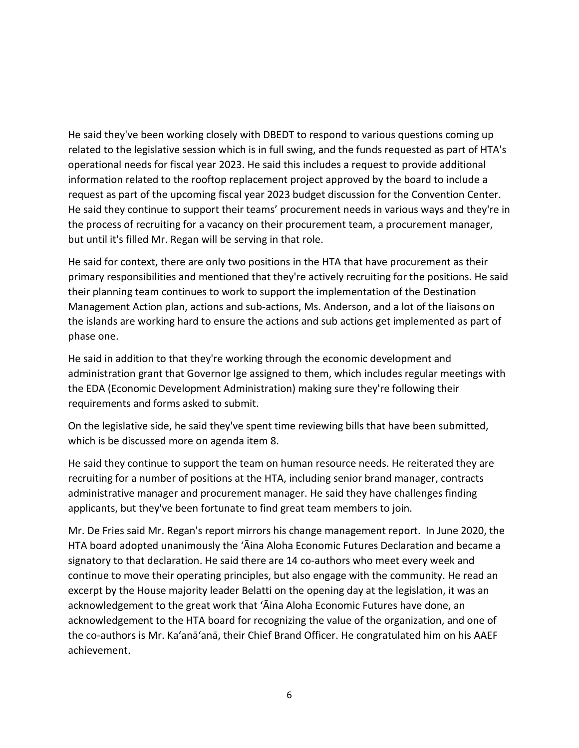He said they've been working closely with DBEDT to respond to various questions coming up related to the legislative session which is in full swing, and the funds requested as part of HTA's operational needs for fiscal year 2023. He said this includes a request to provide additional information related to the rooftop replacement project approved by the board to include a request as part of the upcoming fiscal year 2023 budget discussion for the Convention Center. He said they continue to support their teams' procurement needs in various ways and they're in the process of recruiting for a vacancy on their procurement team, a procurement manager, but until it's filled Mr. Regan will be serving in that role.

He said for context, there are only two positions in the HTA that have procurement as their primary responsibilities and mentioned that they're actively recruiting for the positions. He said their planning team continues to work to support the implementation of the Destination Management Action plan, actions and sub-actions, Ms. Anderson, and a lot of the liaisons on the islands are working hard to ensure the actions and sub actions get implemented as part of phase one.

He said in addition to that they're working through the economic development and administration grant that Governor Ige assigned to them, which includes regular meetings with the EDA (Economic Development Administration) making sure they're following their requirements and forms asked to submit.

On the legislative side, he said they've spent time reviewing bills that have been submitted, which is be discussed more on agenda item 8.

He said they continue to support the team on human resource needs. He reiterated they are recruiting for a number of positions at the HTA, including senior brand manager, contracts administrative manager and procurement manager. He said they have challenges finding applicants, but they've been fortunate to find great team members to join.

Mr. De Fries said Mr. Regan's report mirrors his change management report. In June 2020, the HTA board adopted unanimously the ʻĀina Aloha Economic Futures Declaration and became a signatory to that declaration. He said there are 14 co-authors who meet every week and continue to move their operating principles, but also engage with the community. He read an excerpt by the House majority leader Belatti on the opening day at the legislation, it was an acknowledgement to the great work that ʻĀina Aloha Economic Futures have done, an acknowledgement to the HTA board for recognizing the value of the organization, and one of the co-authors is Mr. Ka'anā'anā, their Chief Brand Officer. He congratulated him on his AAEF achievement.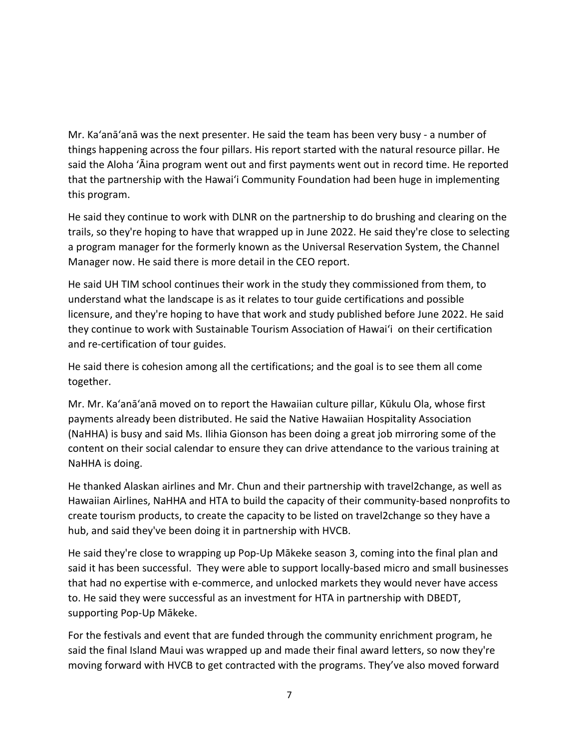Mr. Ka'anā'anā was the next presenter. He said the team has been very busy - a number of things happening across the four pillars. His report started with the natural resource pillar. He said the Aloha ʻĀina program went out and first payments went out in record time. He reported that the partnership with the Hawai'i Community Foundation had been huge in implementing this program.

He said they continue to work with DLNR on the partnership to do brushing and clearing on the trails, so they're hoping to have that wrapped up in June 2022. He said they're close to selecting a program manager for the formerly known as the Universal Reservation System, the Channel Manager now. He said there is more detail in the CEO report.

He said UH TIM school continues their work in the study they commissioned from them, to understand what the landscape is as it relates to tour guide certifications and possible licensure, and they're hoping to have that work and study published before June 2022. He said they continue to work with Sustainable Tourism Association of Hawai'i on their certification and re-certification of tour guides.

He said there is cohesion among all the certifications; and the goal is to see them all come together.

Mr. Mr. Ka'anā'anā moved on to report the Hawaiian culture pillar, Kūkulu Ola, whose first payments already been distributed. He said the Native Hawaiian Hospitality Association (NaHHA) is busy and said Ms. Ilihia Gionson has been doing a great job mirroring some of the content on their social calendar to ensure they can drive attendance to the various training at NaHHA is doing.

He thanked Alaskan airlines and Mr. Chun and their partnership with travel2change, as well as Hawaiian Airlines, NaHHA and HTA to build the capacity of their community-based nonprofits to create tourism products, to create the capacity to be listed on travel2change so they have a hub, and said they've been doing it in partnership with HVCB.

He said they're close to wrapping up Pop-Up Mākeke season 3, coming into the final plan and said it has been successful. They were able to support locally-based micro and small businesses that had no expertise with e-commerce, and unlocked markets they would never have access to. He said they were successful as an investment for HTA in partnership with DBEDT, supporting Pop-Up Mākeke.

For the festivals and event that are funded through the community enrichment program, he said the final Island Maui was wrapped up and made their final award letters, so now they're moving forward with HVCB to get contracted with the programs. They've also moved forward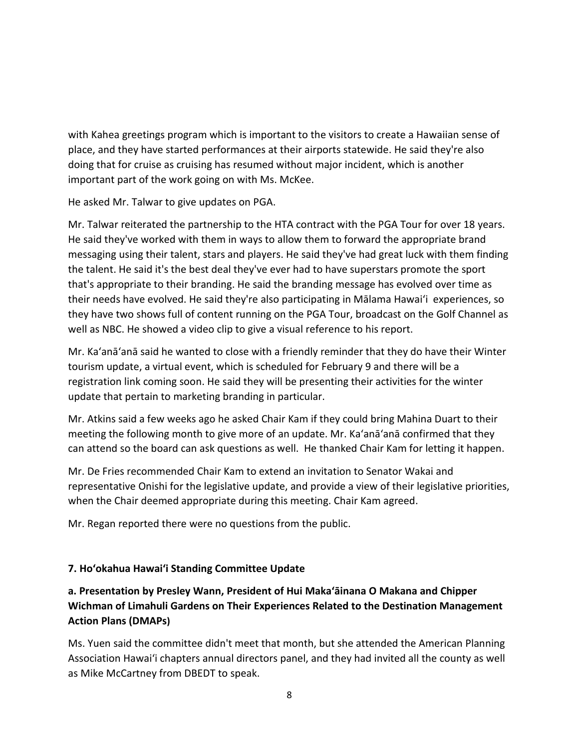with Kahea greetings program which is important to the visitors to create a Hawaiian sense of place, and they have started performances at their airports statewide. He said they're also doing that for cruise as cruising has resumed without major incident, which is another important part of the work going on with Ms. McKee.

He asked Mr. Talwar to give updates on PGA.

Mr. Talwar reiterated the partnership to the HTA contract with the PGA Tour for over 18 years. He said they've worked with them in ways to allow them to forward the appropriate brand messaging using their talent, stars and players. He said they've had great luck with them finding the talent. He said it's the best deal they've ever had to have superstars promote the sport that's appropriate to their branding. He said the branding message has evolved over time as their needs have evolved. He said they're also participating in Mālama Hawai'i experiences, so they have two shows full of content running on the PGA Tour, broadcast on the Golf Channel as well as NBC. He showed a video clip to give a visual reference to his report.

Mr. Ka'anā'anā said he wanted to close with a friendly reminder that they do have their Winter tourism update, a virtual event, which is scheduled for February 9 and there will be a registration link coming soon. He said they will be presenting their activities for the winter update that pertain to marketing branding in particular.

Mr. Atkins said a few weeks ago he asked Chair Kam if they could bring Mahina Duart to their meeting the following month to give more of an update. Mr. Ka'anā'anā confirmed that they can attend so the board can ask questions as well. He thanked Chair Kam for letting it happen.

Mr. De Fries recommended Chair Kam to extend an invitation to Senator Wakai and representative Onishi for the legislative update, and provide a view of their legislative priorities, when the Chair deemed appropriate during this meeting. Chair Kam agreed.

Mr. Regan reported there were no questions from the public.

## **7. Hoʻokahua Hawai'i Standing Committee Update**

# **a. Presentation by Presley Wann, President of Hui Maka'āinana O Makana and Chipper Wichman of Limahuli Gardens on Their Experiences Related to the Destination Management Action Plans (DMAPs)**

Ms. Yuen said the committee didn't meet that month, but she attended the American Planning Association Hawai'i chapters annual directors panel, and they had invited all the county as well as Mike McCartney from DBEDT to speak.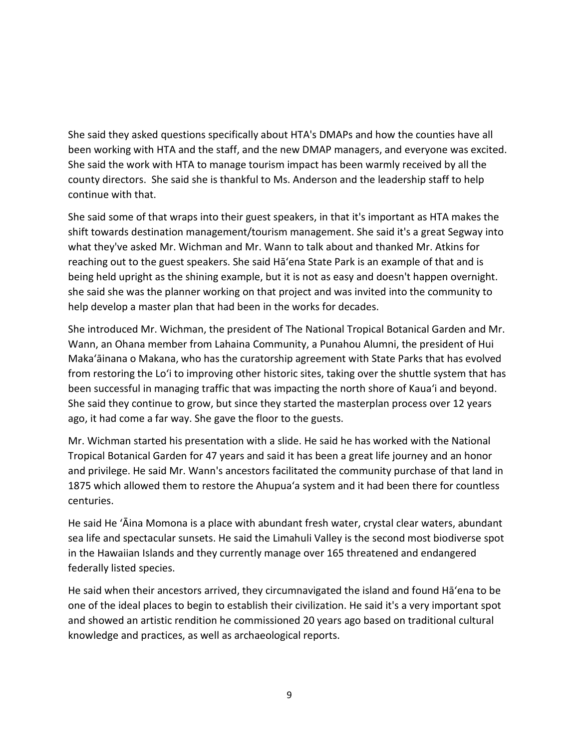She said they asked questions specifically about HTA's DMAPs and how the counties have all been working with HTA and the staff, and the new DMAP managers, and everyone was excited. She said the work with HTA to manage tourism impact has been warmly received by all the county directors. She said she is thankful to Ms. Anderson and the leadership staff to help continue with that.

She said some of that wraps into their guest speakers, in that it's important as HTA makes the shift towards destination management/tourism management. She said it's a great Segway into what they've asked Mr. Wichman and Mr. Wann to talk about and thanked Mr. Atkins for reaching out to the guest speakers. She said Hāʻena State Park is an example of that and is being held upright as the shining example, but it is not as easy and doesn't happen overnight. she said she was the planner working on that project and was invited into the community to help develop a master plan that had been in the works for decades.

She introduced Mr. Wichman, the president of The National Tropical Botanical Garden and Mr. Wann, an Ohana member from Lahaina Community, a Punahou Alumni, the president of Hui Makaʻāinana o Makana, who has the curatorship agreement with State Parks that has evolved from restoring the Lo'i to improving other historic sites, taking over the shuttle system that has been successful in managing traffic that was impacting the north shore of Kaua'i and beyond. She said they continue to grow, but since they started the masterplan process over 12 years ago, it had come a far way. She gave the floor to the guests.

Mr. Wichman started his presentation with a slide. He said he has worked with the National Tropical Botanical Garden for 47 years and said it has been a great life journey and an honor and privilege. He said Mr. Wann's ancestors facilitated the community purchase of that land in 1875 which allowed them to restore the Ahupua'a system and it had been there for countless centuries.

He said He 'Āina Momona is a place with abundant fresh water, crystal clear waters, abundant sea life and spectacular sunsets. He said the Limahuli Valley is the second most biodiverse spot in the Hawaiian Islands and they currently manage over 165 threatened and endangered federally listed species.

He said when their ancestors arrived, they circumnavigated the island and found Hāʻena to be one of the ideal places to begin to establish their civilization. He said it's a very important spot and showed an artistic rendition he commissioned 20 years ago based on traditional cultural knowledge and practices, as well as archaeological reports.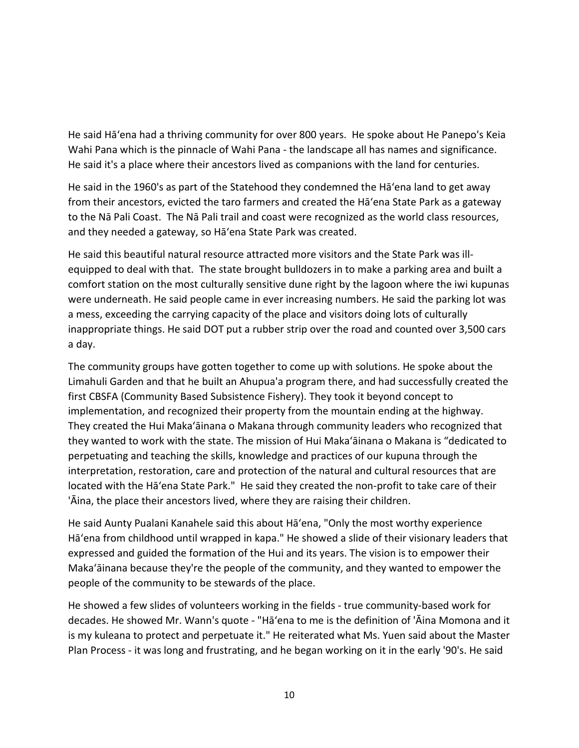He said Hāʻena had a thriving community for over 800 years. He spoke about He Panepo's Keia Wahi Pana which is the pinnacle of Wahi Pana - the landscape all has names and significance. He said it's a place where their ancestors lived as companions with the land for centuries.

He said in the 1960's as part of the Statehood they condemned the Hāʻena land to get away from their ancestors, evicted the taro farmers and created the Hāʻena State Park as a gateway to the Nā Pali Coast. The Nā Pali trail and coast were recognized as the world class resources, and they needed a gateway, so Hāʻena State Park was created.

He said this beautiful natural resource attracted more visitors and the State Park was illequipped to deal with that. The state brought bulldozers in to make a parking area and built a comfort station on the most culturally sensitive dune right by the lagoon where the iwi kupunas were underneath. He said people came in ever increasing numbers. He said the parking lot was a mess, exceeding the carrying capacity of the place and visitors doing lots of culturally inappropriate things. He said DOT put a rubber strip over the road and counted over 3,500 cars a day.

The community groups have gotten together to come up with solutions. He spoke about the Limahuli Garden and that he built an Ahupua'a program there, and had successfully created the first CBSFA (Community Based Subsistence Fishery). They took it beyond concept to implementation, and recognized their property from the mountain ending at the highway. They created the Hui Makaʻāinana o Makana through community leaders who recognized that they wanted to work with the state. The mission of Hui Makaʻāinana o Makana is "dedicated to perpetuating and teaching the skills, knowledge and practices of our kupuna through the interpretation, restoration, care and protection of the natural and cultural resources that are located with the Hāʻena State Park." He said they created the non-profit to take care of their 'Āina, the place their ancestors lived, where they are raising their children.

He said Aunty Pualani Kanahele said this about Hāʻena, "Only the most worthy experience Hāʻena from childhood until wrapped in kapa." He showed a slide of their visionary leaders that expressed and guided the formation of the Hui and its years. The vision is to empower their Makaʻāinana because they're the people of the community, and they wanted to empower the people of the community to be stewards of the place.

He showed a few slides of volunteers working in the fields - true community-based work for decades. He showed Mr. Wann's quote - "Hāʻena to me is the definition of 'Āina Momona and it is my kuleana to protect and perpetuate it." He reiterated what Ms. Yuen said about the Master Plan Process - it was long and frustrating, and he began working on it in the early '90's. He said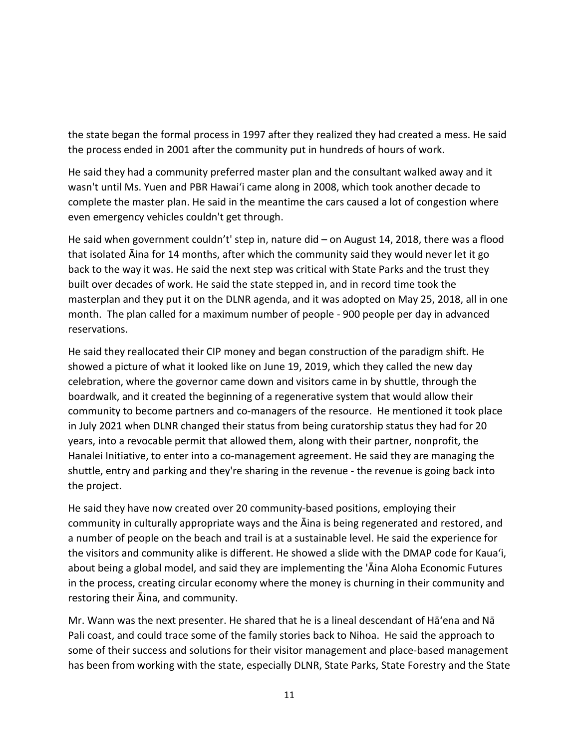the state began the formal process in 1997 after they realized they had created a mess. He said the process ended in 2001 after the community put in hundreds of hours of work.

He said they had a community preferred master plan and the consultant walked away and it wasn't until Ms. Yuen and PBR Hawai'i came along in 2008, which took another decade to complete the master plan. He said in the meantime the cars caused a lot of congestion where even emergency vehicles couldn't get through.

He said when government couldn't' step in, nature did – on August 14, 2018, there was a flood that isolated Āina for 14 months, after which the community said they would never let it go back to the way it was. He said the next step was critical with State Parks and the trust they built over decades of work. He said the state stepped in, and in record time took the masterplan and they put it on the DLNR agenda, and it was adopted on May 25, 2018, all in one month. The plan called for a maximum number of people - 900 people per day in advanced reservations.

He said they reallocated their CIP money and began construction of the paradigm shift. He showed a picture of what it looked like on June 19, 2019, which they called the new day celebration, where the governor came down and visitors came in by shuttle, through the boardwalk, and it created the beginning of a regenerative system that would allow their community to become partners and co-managers of the resource. He mentioned it took place in July 2021 when DLNR changed their status from being curatorship status they had for 20 years, into a revocable permit that allowed them, along with their partner, nonprofit, the Hanalei Initiative, to enter into a co-management agreement. He said they are managing the shuttle, entry and parking and they're sharing in the revenue - the revenue is going back into the project.

He said they have now created over 20 community-based positions, employing their community in culturally appropriate ways and the Āina is being regenerated and restored, and a number of people on the beach and trail is at a sustainable level. He said the experience for the visitors and community alike is different. He showed a slide with the DMAP code for Kaua'i, about being a global model, and said they are implementing the 'Āina Aloha Economic Futures in the process, creating circular economy where the money is churning in their community and restoring their Āina, and community.

Mr. Wann was the next presenter. He shared that he is a lineal descendant of Hāʻena and Nā Pali coast, and could trace some of the family stories back to Nihoa. He said the approach to some of their success and solutions for their visitor management and place-based management has been from working with the state, especially DLNR, State Parks, State Forestry and the State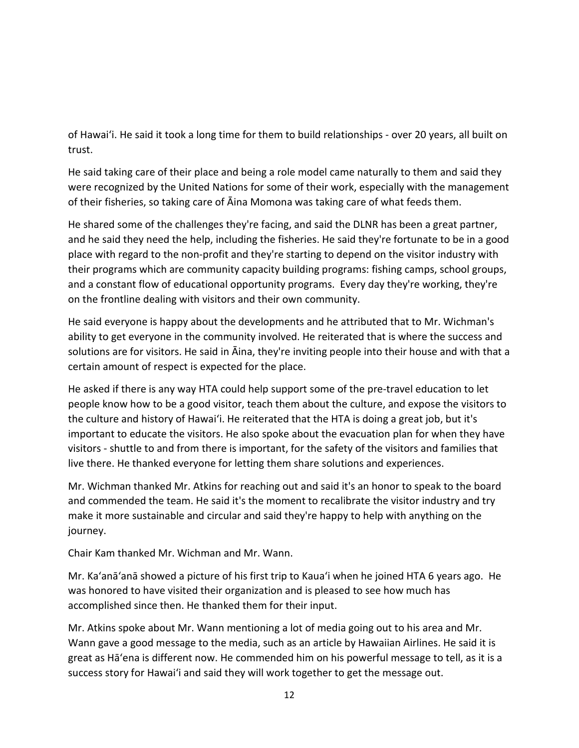of Hawai'i. He said it took a long time for them to build relationships - over 20 years, all built on trust.

He said taking care of their place and being a role model came naturally to them and said they were recognized by the United Nations for some of their work, especially with the management of their fisheries, so taking care of Āina Momona was taking care of what feeds them.

He shared some of the challenges they're facing, and said the DLNR has been a great partner, and he said they need the help, including the fisheries. He said they're fortunate to be in a good place with regard to the non-profit and they're starting to depend on the visitor industry with their programs which are community capacity building programs: fishing camps, school groups, and a constant flow of educational opportunity programs. Every day they're working, they're on the frontline dealing with visitors and their own community.

He said everyone is happy about the developments and he attributed that to Mr. Wichman's ability to get everyone in the community involved. He reiterated that is where the success and solutions are for visitors. He said in Āina, they're inviting people into their house and with that a certain amount of respect is expected for the place.

He asked if there is any way HTA could help support some of the pre-travel education to let people know how to be a good visitor, teach them about the culture, and expose the visitors to the culture and history of Hawai'i. He reiterated that the HTA is doing a great job, but it's important to educate the visitors. He also spoke about the evacuation plan for when they have visitors - shuttle to and from there is important, for the safety of the visitors and families that live there. He thanked everyone for letting them share solutions and experiences.

Mr. Wichman thanked Mr. Atkins for reaching out and said it's an honor to speak to the board and commended the team. He said it's the moment to recalibrate the visitor industry and try make it more sustainable and circular and said they're happy to help with anything on the journey.

Chair Kam thanked Mr. Wichman and Mr. Wann.

Mr. Ka'anā'anā showed a picture of his first trip to Kaua'i when he joined HTA 6 years ago. He was honored to have visited their organization and is pleased to see how much has accomplished since then. He thanked them for their input.

Mr. Atkins spoke about Mr. Wann mentioning a lot of media going out to his area and Mr. Wann gave a good message to the media, such as an article by Hawaiian Airlines. He said it is great as Hāʻena is different now. He commended him on his powerful message to tell, as it is a success story for Hawai'i and said they will work together to get the message out.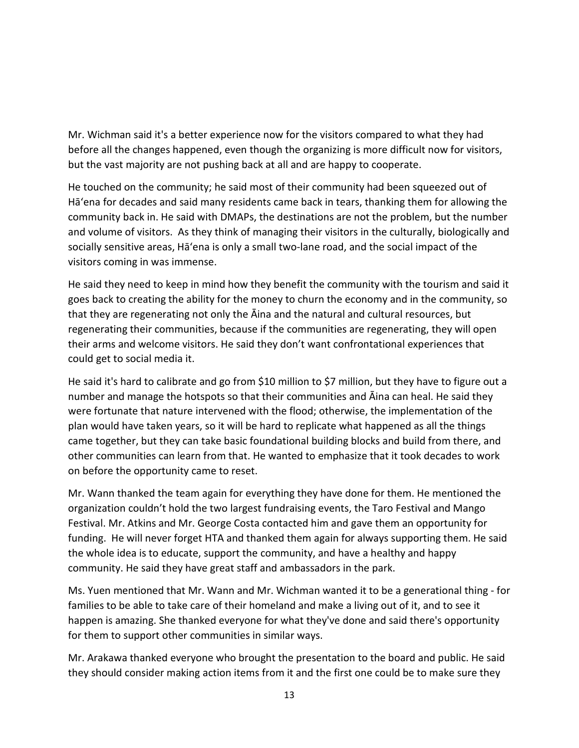Mr. Wichman said it's a better experience now for the visitors compared to what they had before all the changes happened, even though the organizing is more difficult now for visitors, but the vast majority are not pushing back at all and are happy to cooperate.

He touched on the community; he said most of their community had been squeezed out of Hāʻena for decades and said many residents came back in tears, thanking them for allowing the community back in. He said with DMAPs, the destinations are not the problem, but the number and volume of visitors. As they think of managing their visitors in the culturally, biologically and socially sensitive areas, Hāʻena is only a small two-lane road, and the social impact of the visitors coming in was immense.

He said they need to keep in mind how they benefit the community with the tourism and said it goes back to creating the ability for the money to churn the economy and in the community, so that they are regenerating not only the Āina and the natural and cultural resources, but regenerating their communities, because if the communities are regenerating, they will open their arms and welcome visitors. He said they don't want confrontational experiences that could get to social media it.

He said it's hard to calibrate and go from \$10 million to \$7 million, but they have to figure out a number and manage the hotspots so that their communities and Āina can heal. He said they were fortunate that nature intervened with the flood; otherwise, the implementation of the plan would have taken years, so it will be hard to replicate what happened as all the things came together, but they can take basic foundational building blocks and build from there, and other communities can learn from that. He wanted to emphasize that it took decades to work on before the opportunity came to reset.

Mr. Wann thanked the team again for everything they have done for them. He mentioned the organization couldn't hold the two largest fundraising events, the Taro Festival and Mango Festival. Mr. Atkins and Mr. George Costa contacted him and gave them an opportunity for funding. He will never forget HTA and thanked them again for always supporting them. He said the whole idea is to educate, support the community, and have a healthy and happy community. He said they have great staff and ambassadors in the park.

Ms. Yuen mentioned that Mr. Wann and Mr. Wichman wanted it to be a generational thing - for families to be able to take care of their homeland and make a living out of it, and to see it happen is amazing. She thanked everyone for what they've done and said there's opportunity for them to support other communities in similar ways.

Mr. Arakawa thanked everyone who brought the presentation to the board and public. He said they should consider making action items from it and the first one could be to make sure they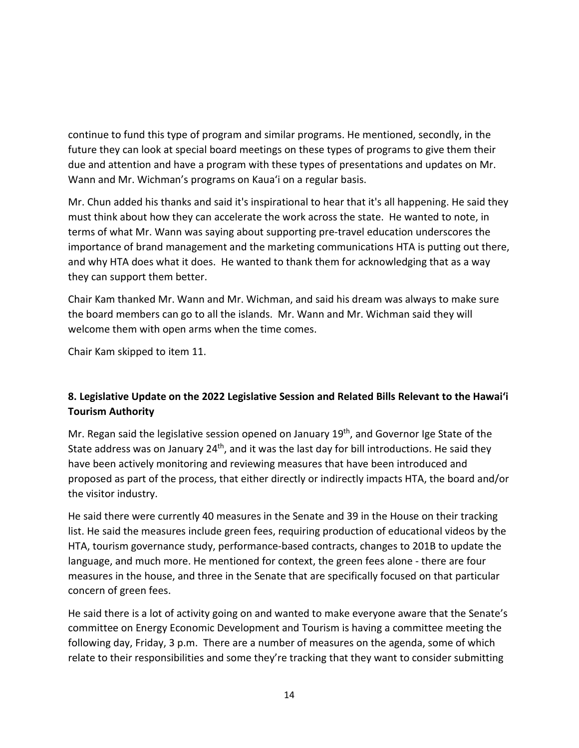continue to fund this type of program and similar programs. He mentioned, secondly, in the future they can look at special board meetings on these types of programs to give them their due and attention and have a program with these types of presentations and updates on Mr. Wann and Mr. Wichman's programs on Kaua'i on a regular basis.

Mr. Chun added his thanks and said it's inspirational to hear that it's all happening. He said they must think about how they can accelerate the work across the state. He wanted to note, in terms of what Mr. Wann was saying about supporting pre-travel education underscores the importance of brand management and the marketing communications HTA is putting out there, and why HTA does what it does. He wanted to thank them for acknowledging that as a way they can support them better.

Chair Kam thanked Mr. Wann and Mr. Wichman, and said his dream was always to make sure the board members can go to all the islands. Mr. Wann and Mr. Wichman said they will welcome them with open arms when the time comes.

Chair Kam skipped to item 11.

## **8. Legislative Update on the 2022 Legislative Session and Related Bills Relevant to the Hawaiʻi Tourism Authority**

Mr. Regan said the legislative session opened on January 19<sup>th</sup>, and Governor Ige State of the State address was on January  $24<sup>th</sup>$ , and it was the last day for bill introductions. He said they have been actively monitoring and reviewing measures that have been introduced and proposed as part of the process, that either directly or indirectly impacts HTA, the board and/or the visitor industry.

He said there were currently 40 measures in the Senate and 39 in the House on their tracking list. He said the measures include green fees, requiring production of educational videos by the HTA, tourism governance study, performance-based contracts, changes to 201B to update the language, and much more. He mentioned for context, the green fees alone - there are four measures in the house, and three in the Senate that are specifically focused on that particular concern of green fees.

He said there is a lot of activity going on and wanted to make everyone aware that the Senate's committee on Energy Economic Development and Tourism is having a committee meeting the following day, Friday, 3 p.m. There are a number of measures on the agenda, some of which relate to their responsibilities and some they're tracking that they want to consider submitting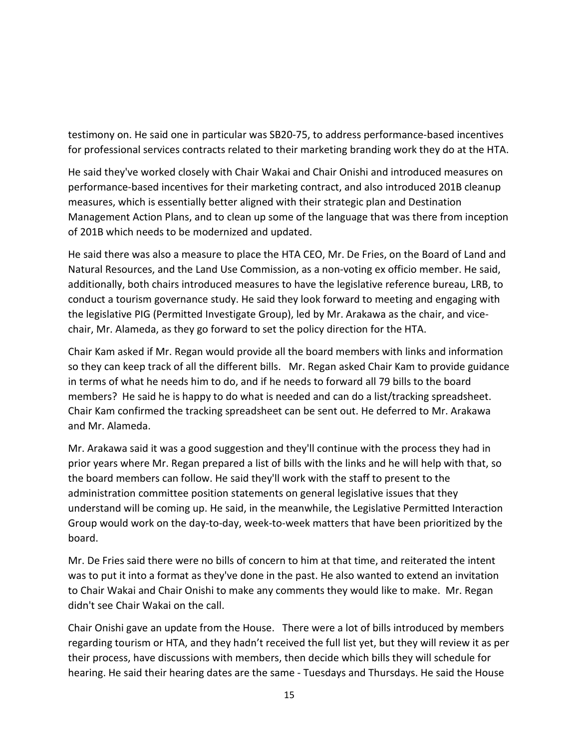testimony on. He said one in particular was SB20-75, to address performance-based incentives for professional services contracts related to their marketing branding work they do at the HTA.

He said they've worked closely with Chair Wakai and Chair Onishi and introduced measures on performance-based incentives for their marketing contract, and also introduced 201B cleanup measures, which is essentially better aligned with their strategic plan and Destination Management Action Plans, and to clean up some of the language that was there from inception of 201B which needs to be modernized and updated.

He said there was also a measure to place the HTA CEO, Mr. De Fries, on the Board of Land and Natural Resources, and the Land Use Commission, as a non-voting ex officio member. He said, additionally, both chairs introduced measures to have the legislative reference bureau, LRB, to conduct a tourism governance study. He said they look forward to meeting and engaging with the legislative PIG (Permitted Investigate Group), led by Mr. Arakawa as the chair, and vicechair, Mr. Alameda, as they go forward to set the policy direction for the HTA.

Chair Kam asked if Mr. Regan would provide all the board members with links and information so they can keep track of all the different bills. Mr. Regan asked Chair Kam to provide guidance in terms of what he needs him to do, and if he needs to forward all 79 bills to the board members? He said he is happy to do what is needed and can do a list/tracking spreadsheet. Chair Kam confirmed the tracking spreadsheet can be sent out. He deferred to Mr. Arakawa and Mr. Alameda.

Mr. Arakawa said it was a good suggestion and they'll continue with the process they had in prior years where Mr. Regan prepared a list of bills with the links and he will help with that, so the board members can follow. He said they'll work with the staff to present to the administration committee position statements on general legislative issues that they understand will be coming up. He said, in the meanwhile, the Legislative Permitted Interaction Group would work on the day-to-day, week-to-week matters that have been prioritized by the board.

Mr. De Fries said there were no bills of concern to him at that time, and reiterated the intent was to put it into a format as they've done in the past. He also wanted to extend an invitation to Chair Wakai and Chair Onishi to make any comments they would like to make. Mr. Regan didn't see Chair Wakai on the call.

Chair Onishi gave an update from the House. There were a lot of bills introduced by members regarding tourism or HTA, and they hadn't received the full list yet, but they will review it as per their process, have discussions with members, then decide which bills they will schedule for hearing. He said their hearing dates are the same - Tuesdays and Thursdays. He said the House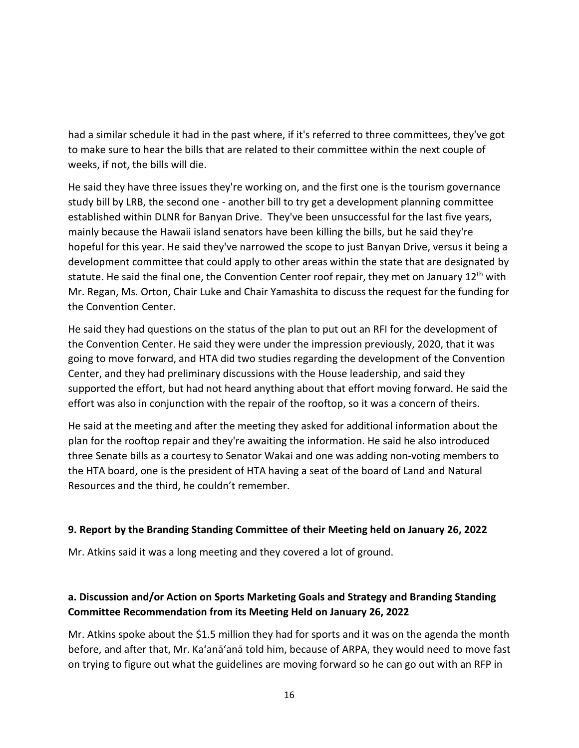had a similar schedule it had in the past where, if it's referred to three committees, they've got to make sure to hear the bills that are related to their committee within the next couple of weeks, if not, the bills will die.

He said they have three issues they're working on, and the first one is the tourism governance study bill by LRB, the second one - another bill to try get a development planning committee established within DLNR for Banyan Drive. They've been unsuccessful for the last five years, mainly because the Hawaii island senators have been killing the bills, but he said they're hopeful for this year. He said they've narrowed the scope to just Banyan Drive, versus it being a development committee that could apply to other areas within the state that are designated by statute. He said the final one, the Convention Center roof repair, they met on January 12<sup>th</sup> with Mr. Regan, Ms. Orton, Chair Luke and Chair Yamashita to discuss the request for the funding for the Convention Center.

He said they had questions on the status of the plan to put out an RFI for the development of the Convention Center. He said they were under the impression previously, 2020, that it was going to move forward, and HTA did two studies regarding the development of the Convention Center, and they had preliminary discussions with the House leadership, and said they supported the effort, but had not heard anything about that effort moving forward. He said the effort was also in conjunction with the repair of the rooftop, so it was a concern of theirs.

He said at the meeting and after the meeting they asked for additional information about the plan for the rooftop repair and they're awaiting the information. He said he also introduced three Senate bills as a courtesy to Senator Wakai and one was adding non-voting members to the HTA board, one is the president of HTA having a seat of the board of Land and Natural Resources and the third, he couldn't remember.

#### **9. Report by the Branding Standing Committee of their Meeting held on January 26, 2022**

Mr. Atkins said it was a long meeting and they covered a lot of ground.

## **a. Discussion and/or Action on Sports Marketing Goals and Strategy and Branding Standing Committee Recommendation from its Meeting Held on January 26, 2022**

Mr. Atkins spoke about the \$1.5 million they had for sports and it was on the agenda the month before, and after that, Mr. Ka'anā'anā told him, because of ARPA, they would need to move fast on trying to figure out what the guidelines are moving forward so he can go out with an RFP in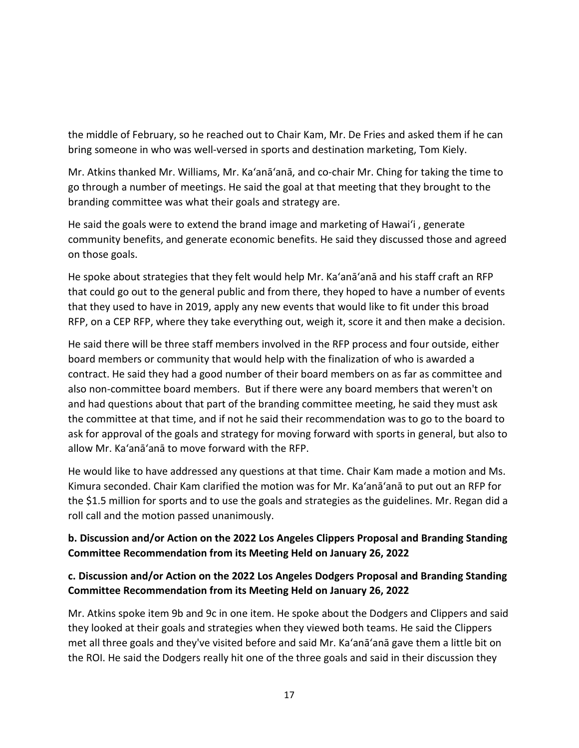the middle of February, so he reached out to Chair Kam, Mr. De Fries and asked them if he can bring someone in who was well-versed in sports and destination marketing, Tom Kiely.

Mr. Atkins thanked Mr. Williams, Mr. Ka'anā'anā, and co-chair Mr. Ching for taking the time to go through a number of meetings. He said the goal at that meeting that they brought to the branding committee was what their goals and strategy are.

He said the goals were to extend the brand image and marketing of Hawai'i , generate community benefits, and generate economic benefits. He said they discussed those and agreed on those goals.

He spoke about strategies that they felt would help Mr. Ka'anā'anā and his staff craft an RFP that could go out to the general public and from there, they hoped to have a number of events that they used to have in 2019, apply any new events that would like to fit under this broad RFP, on a CEP RFP, where they take everything out, weigh it, score it and then make a decision.

He said there will be three staff members involved in the RFP process and four outside, either board members or community that would help with the finalization of who is awarded a contract. He said they had a good number of their board members on as far as committee and also non-committee board members. But if there were any board members that weren't on and had questions about that part of the branding committee meeting, he said they must ask the committee at that time, and if not he said their recommendation was to go to the board to ask for approval of the goals and strategy for moving forward with sports in general, but also to allow Mr. Ka'anā'anā to move forward with the RFP.

He would like to have addressed any questions at that time. Chair Kam made a motion and Ms. Kimura seconded. Chair Kam clarified the motion was for Mr. Ka'anā'anā to put out an RFP for the \$1.5 million for sports and to use the goals and strategies as the guidelines. Mr. Regan did a roll call and the motion passed unanimously.

## **b. Discussion and/or Action on the 2022 Los Angeles Clippers Proposal and Branding Standing Committee Recommendation from its Meeting Held on January 26, 2022**

## **c. Discussion and/or Action on the 2022 Los Angeles Dodgers Proposal and Branding Standing Committee Recommendation from its Meeting Held on January 26, 2022**

Mr. Atkins spoke item 9b and 9c in one item. He spoke about the Dodgers and Clippers and said they looked at their goals and strategies when they viewed both teams. He said the Clippers met all three goals and they've visited before and said Mr. Ka'anā'anā gave them a little bit on the ROI. He said the Dodgers really hit one of the three goals and said in their discussion they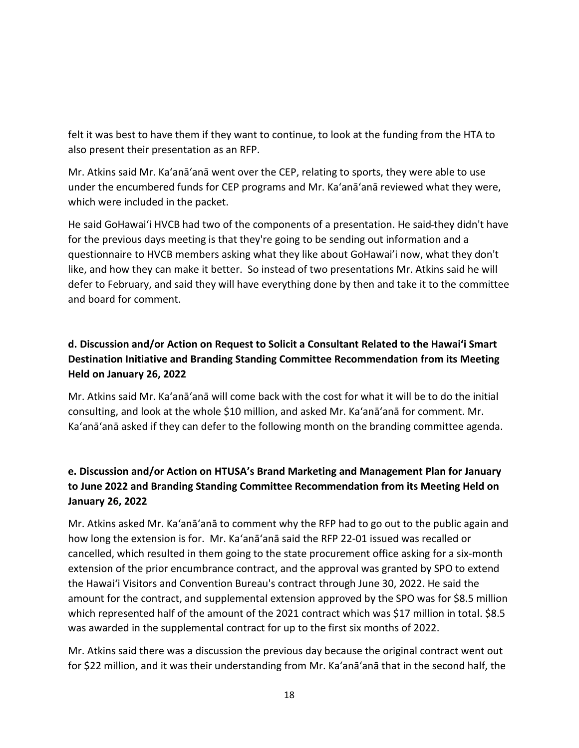felt it was best to have them if they want to continue, to look at the funding from the HTA to also present their presentation as an RFP.

Mr. Atkins said Mr. Ka'anā'anā went over the CEP, relating to sports, they were able to use under the encumbered funds for CEP programs and Mr. Ka'anā'anā reviewed what they were, which were included in the packet.

He said GoHawai'i HVCB had two of the components of a presentation. He said they didn't have for the previous days meeting is that they're going to be sending out information and a questionnaire to HVCB members asking what they like about GoHawai'i now, what they don't like, and how they can make it better. So instead of two presentations Mr. Atkins said he will defer to February, and said they will have everything done by then and take it to the committee and board for comment.

# **d. Discussion and/or Action on Request to Solicit a Consultant Related to the Hawai'i Smart Destination Initiative and Branding Standing Committee Recommendation from its Meeting Held on January 26, 2022**

Mr. Atkins said Mr. Ka'anā'anā will come back with the cost for what it will be to do the initial consulting, and look at the whole \$10 million, and asked Mr. Ka'anā'anā for comment. Mr. Ka'anā'anā asked if they can defer to the following month on the branding committee agenda.

# **e. Discussion and/or Action on HTUSA's Brand Marketing and Management Plan for January to June 2022 and Branding Standing Committee Recommendation from its Meeting Held on January 26, 2022**

Mr. Atkins asked Mr. Ka'anā'anā to comment why the RFP had to go out to the public again and how long the extension is for. Mr. Ka'anā'anā said the RFP 22-01 issued was recalled or cancelled, which resulted in them going to the state procurement office asking for a six-month extension of the prior encumbrance contract, and the approval was granted by SPO to extend the Hawai'i Visitors and Convention Bureau's contract through June 30, 2022. He said the amount for the contract, and supplemental extension approved by the SPO was for \$8.5 million which represented half of the amount of the 2021 contract which was \$17 million in total. \$8.5 was awarded in the supplemental contract for up to the first six months of 2022.

Mr. Atkins said there was a discussion the previous day because the original contract went out for \$22 million, and it was their understanding from Mr. Ka'anā'anā that in the second half, the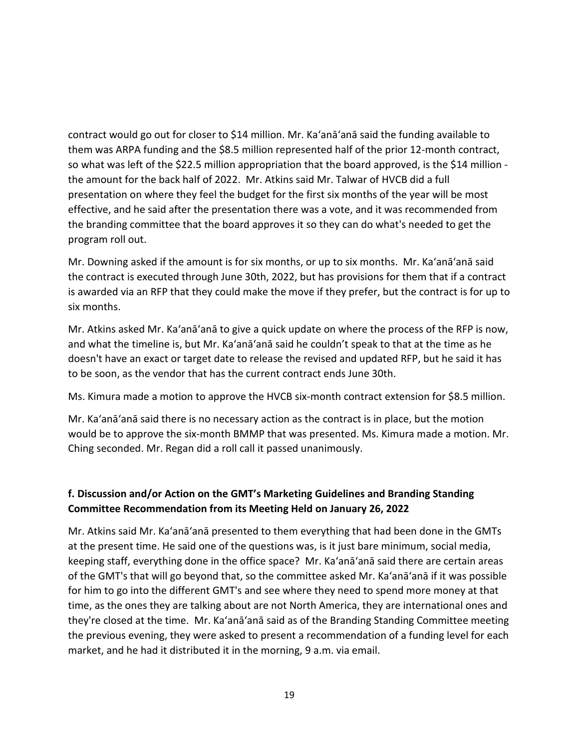contract would go out for closer to \$14 million. Mr. Ka'anā'anā said the funding available to them was ARPA funding and the \$8.5 million represented half of the prior 12-month contract, so what was left of the \$22.5 million appropriation that the board approved, is the \$14 million the amount for the back half of 2022. Mr. Atkins said Mr. Talwar of HVCB did a full presentation on where they feel the budget for the first six months of the year will be most effective, and he said after the presentation there was a vote, and it was recommended from the branding committee that the board approves it so they can do what's needed to get the program roll out.

Mr. Downing asked if the amount is for six months, or up to six months. Mr. Ka'anā'anā said the contract is executed through June 30th, 2022, but has provisions for them that if a contract is awarded via an RFP that they could make the move if they prefer, but the contract is for up to six months.

Mr. Atkins asked Mr. Ka'anā'anā to give a quick update on where the process of the RFP is now, and what the timeline is, but Mr. Ka'anā'anā said he couldn't speak to that at the time as he doesn't have an exact or target date to release the revised and updated RFP, but he said it has to be soon, as the vendor that has the current contract ends June 30th.

Ms. Kimura made a motion to approve the HVCB six-month contract extension for \$8.5 million.

Mr. Ka'anā'anā said there is no necessary action as the contract is in place, but the motion would be to approve the six-month BMMP that was presented. Ms. Kimura made a motion. Mr. Ching seconded. Mr. Regan did a roll call it passed unanimously.

## **f. Discussion and/or Action on the GMT's Marketing Guidelines and Branding Standing Committee Recommendation from its Meeting Held on January 26, 2022**

Mr. Atkins said Mr. Ka'anā'anā presented to them everything that had been done in the GMTs at the present time. He said one of the questions was, is it just bare minimum, social media, keeping staff, everything done in the office space? Mr. Ka'anā'anā said there are certain areas of the GMT's that will go beyond that, so the committee asked Mr. Ka'anā'anā if it was possible for him to go into the different GMT's and see where they need to spend more money at that time, as the ones they are talking about are not North America, they are international ones and they're closed at the time. Mr. Ka'anā'anā said as of the Branding Standing Committee meeting the previous evening, they were asked to present a recommendation of a funding level for each market, and he had it distributed it in the morning, 9 a.m. via email.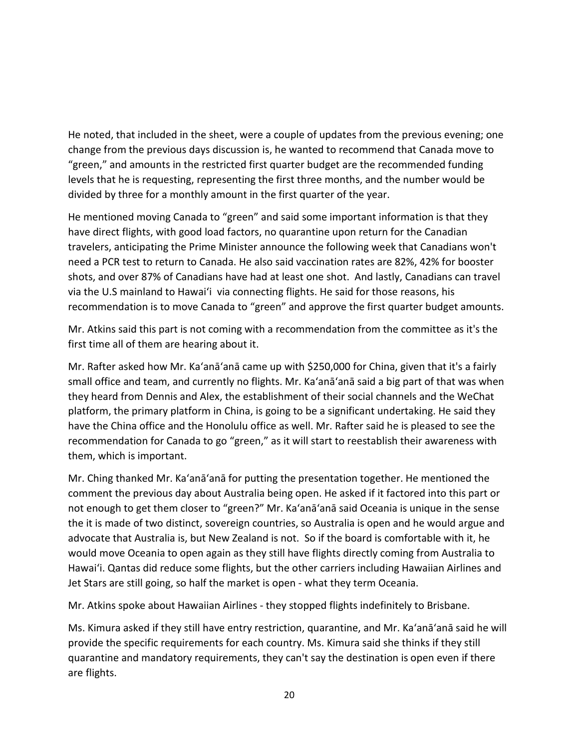He noted, that included in the sheet, were a couple of updates from the previous evening; one change from the previous days discussion is, he wanted to recommend that Canada move to "green," and amounts in the restricted first quarter budget are the recommended funding levels that he is requesting, representing the first three months, and the number would be divided by three for a monthly amount in the first quarter of the year.

He mentioned moving Canada to "green" and said some important information is that they have direct flights, with good load factors, no quarantine upon return for the Canadian travelers, anticipating the Prime Minister announce the following week that Canadians won't need a PCR test to return to Canada. He also said vaccination rates are 82%, 42% for booster shots, and over 87% of Canadians have had at least one shot. And lastly, Canadians can travel via the U.S mainland to Hawai'i via connecting flights. He said for those reasons, his recommendation is to move Canada to "green" and approve the first quarter budget amounts.

Mr. Atkins said this part is not coming with a recommendation from the committee as it's the first time all of them are hearing about it.

Mr. Rafter asked how Mr. Ka'anā'anā came up with \$250,000 for China, given that it's a fairly small office and team, and currently no flights. Mr. Ka'anā'anā said a big part of that was when they heard from Dennis and Alex, the establishment of their social channels and the WeChat platform, the primary platform in China, is going to be a significant undertaking. He said they have the China office and the Honolulu office as well. Mr. Rafter said he is pleased to see the recommendation for Canada to go "green," as it will start to reestablish their awareness with them, which is important.

Mr. Ching thanked Mr. Ka'anā'anā for putting the presentation together. He mentioned the comment the previous day about Australia being open. He asked if it factored into this part or not enough to get them closer to "green?" Mr. Ka'anā'anā said Oceania is unique in the sense the it is made of two distinct, sovereign countries, so Australia is open and he would argue and advocate that Australia is, but New Zealand is not. So if the board is comfortable with it, he would move Oceania to open again as they still have flights directly coming from Australia to Hawai'i. Qantas did reduce some flights, but the other carriers including Hawaiian Airlines and Jet Stars are still going, so half the market is open - what they term Oceania.

Mr. Atkins spoke about Hawaiian Airlines - they stopped flights indefinitely to Brisbane.

Ms. Kimura asked if they still have entry restriction, quarantine, and Mr. Ka'anā'anā said he will provide the specific requirements for each country. Ms. Kimura said she thinks if they still quarantine and mandatory requirements, they can't say the destination is open even if there are flights.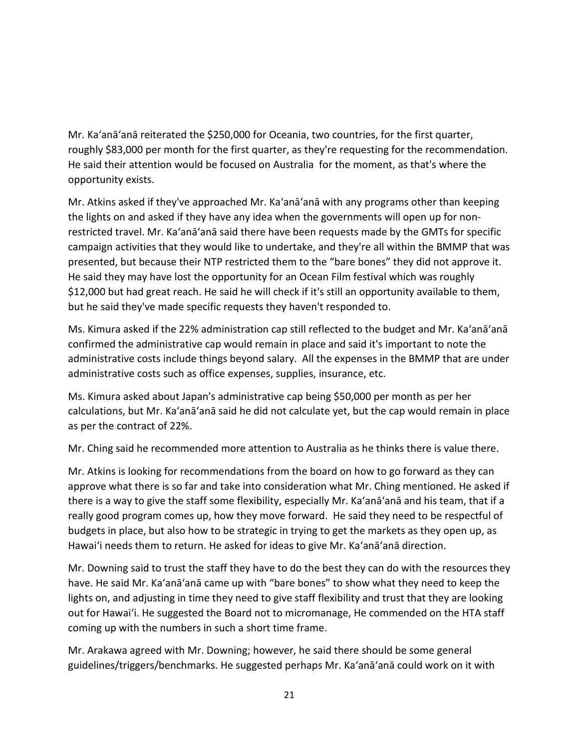Mr. Ka'anā'anā reiterated the \$250,000 for Oceania, two countries, for the first quarter, roughly \$83,000 per month for the first quarter, as they're requesting for the recommendation. He said their attention would be focused on Australia for the moment, as that's where the opportunity exists.

Mr. Atkins asked if they've approached Mr. Ka'anā'anā with any programs other than keeping the lights on and asked if they have any idea when the governments will open up for nonrestricted travel. Mr. Ka'anā'anā said there have been requests made by the GMTs for specific campaign activities that they would like to undertake, and they're all within the BMMP that was presented, but because their NTP restricted them to the "bare bones" they did not approve it. He said they may have lost the opportunity for an Ocean Film festival which was roughly \$12,000 but had great reach. He said he will check if it's still an opportunity available to them, but he said they've made specific requests they haven't responded to.

Ms. Kimura asked if the 22% administration cap still reflected to the budget and Mr. Ka'anā'anā confirmed the administrative cap would remain in place and said it's important to note the administrative costs include things beyond salary. All the expenses in the BMMP that are under administrative costs such as office expenses, supplies, insurance, etc.

Ms. Kimura asked about Japan's administrative cap being \$50,000 per month as per her calculations, but Mr. Ka'anā'anā said he did not calculate yet, but the cap would remain in place as per the contract of 22%.

Mr. Ching said he recommended more attention to Australia as he thinks there is value there.

Mr. Atkins is looking for recommendations from the board on how to go forward as they can approve what there is so far and take into consideration what Mr. Ching mentioned. He asked if there is a way to give the staff some flexibility, especially Mr. Ka'anā'anā and his team, that if a really good program comes up, how they move forward. He said they need to be respectful of budgets in place, but also how to be strategic in trying to get the markets as they open up, as Hawai'i needs them to return. He asked for ideas to give Mr. Ka'anā'anā direction.

Mr. Downing said to trust the staff they have to do the best they can do with the resources they have. He said Mr. Ka'anā'anā came up with "bare bones" to show what they need to keep the lights on, and adjusting in time they need to give staff flexibility and trust that they are looking out for Hawai'i. He suggested the Board not to micromanage, He commended on the HTA staff coming up with the numbers in such a short time frame.

Mr. Arakawa agreed with Mr. Downing; however, he said there should be some general guidelines/triggers/benchmarks. He suggested perhaps Mr. Ka'anā'anā could work on it with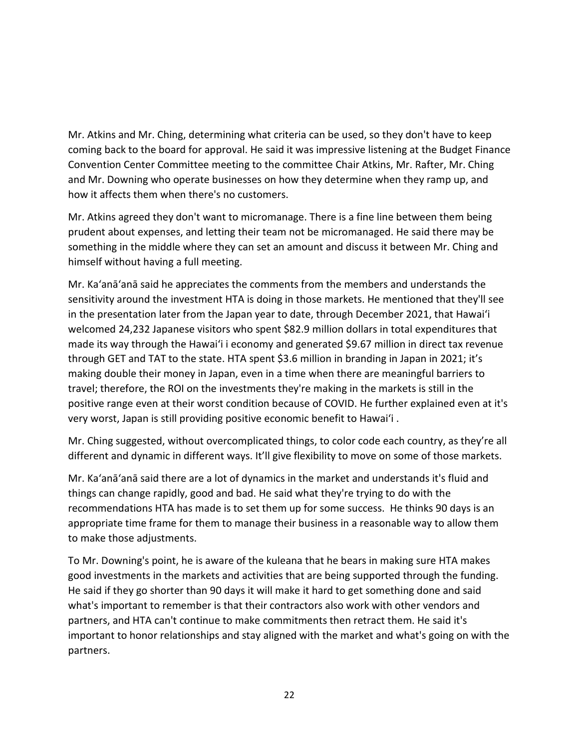Mr. Atkins and Mr. Ching, determining what criteria can be used, so they don't have to keep coming back to the board for approval. He said it was impressive listening at the Budget Finance Convention Center Committee meeting to the committee Chair Atkins, Mr. Rafter, Mr. Ching and Mr. Downing who operate businesses on how they determine when they ramp up, and how it affects them when there's no customers.

Mr. Atkins agreed they don't want to micromanage. There is a fine line between them being prudent about expenses, and letting their team not be micromanaged. He said there may be something in the middle where they can set an amount and discuss it between Mr. Ching and himself without having a full meeting.

Mr. Ka'anā'anā said he appreciates the comments from the members and understands the sensitivity around the investment HTA is doing in those markets. He mentioned that they'll see in the presentation later from the Japan year to date, through December 2021, that Hawai'i welcomed 24,232 Japanese visitors who spent \$82.9 million dollars in total expenditures that made its way through the Hawai'i i economy and generated \$9.67 million in direct tax revenue through GET and TAT to the state. HTA spent \$3.6 million in branding in Japan in 2021; it's making double their money in Japan, even in a time when there are meaningful barriers to travel; therefore, the ROI on the investments they're making in the markets is still in the positive range even at their worst condition because of COVID. He further explained even at it's very worst, Japan is still providing positive economic benefit to Hawai'i .

Mr. Ching suggested, without overcomplicated things, to color code each country, as they're all different and dynamic in different ways. It'll give flexibility to move on some of those markets.

Mr. Ka'anā'anā said there are a lot of dynamics in the market and understands it's fluid and things can change rapidly, good and bad. He said what they're trying to do with the recommendations HTA has made is to set them up for some success. He thinks 90 days is an appropriate time frame for them to manage their business in a reasonable way to allow them to make those adjustments.

To Mr. Downing's point, he is aware of the kuleana that he bears in making sure HTA makes good investments in the markets and activities that are being supported through the funding. He said if they go shorter than 90 days it will make it hard to get something done and said what's important to remember is that their contractors also work with other vendors and partners, and HTA can't continue to make commitments then retract them. He said it's important to honor relationships and stay aligned with the market and what's going on with the partners.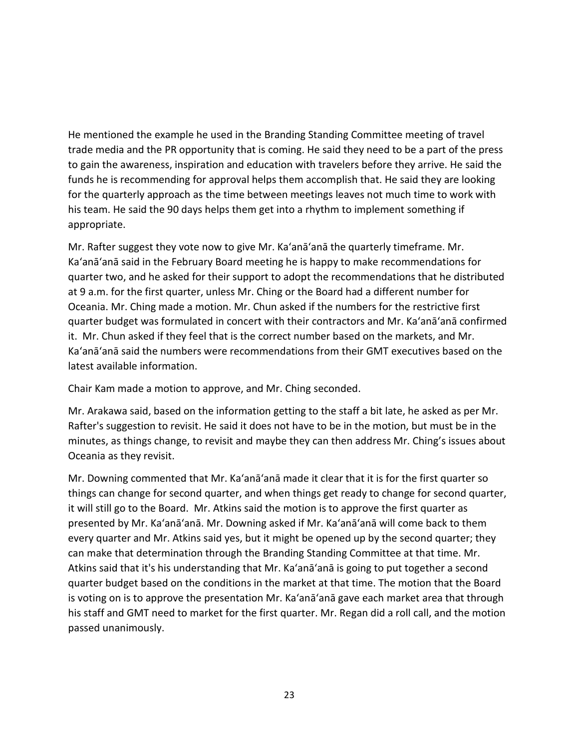He mentioned the example he used in the Branding Standing Committee meeting of travel trade media and the PR opportunity that is coming. He said they need to be a part of the press to gain the awareness, inspiration and education with travelers before they arrive. He said the funds he is recommending for approval helps them accomplish that. He said they are looking for the quarterly approach as the time between meetings leaves not much time to work with his team. He said the 90 days helps them get into a rhythm to implement something if appropriate.

Mr. Rafter suggest they vote now to give Mr. Ka'anā'anā the quarterly timeframe. Mr. Ka'anā'anā said in the February Board meeting he is happy to make recommendations for quarter two, and he asked for their support to adopt the recommendations that he distributed at 9 a.m. for the first quarter, unless Mr. Ching or the Board had a different number for Oceania. Mr. Ching made a motion. Mr. Chun asked if the numbers for the restrictive first quarter budget was formulated in concert with their contractors and Mr. Ka'anā'anā confirmed it. Mr. Chun asked if they feel that is the correct number based on the markets, and Mr. Ka'anā'anā said the numbers were recommendations from their GMT executives based on the latest available information.

Chair Kam made a motion to approve, and Mr. Ching seconded.

Mr. Arakawa said, based on the information getting to the staff a bit late, he asked as per Mr. Rafter's suggestion to revisit. He said it does not have to be in the motion, but must be in the minutes, as things change, to revisit and maybe they can then address Mr. Ching's issues about Oceania as they revisit.

Mr. Downing commented that Mr. Ka'anā'anā made it clear that it is for the first quarter so things can change for second quarter, and when things get ready to change for second quarter, it will still go to the Board. Mr. Atkins said the motion is to approve the first quarter as presented by Mr. Ka'anā'anā. Mr. Downing asked if Mr. Ka'anā'anā will come back to them every quarter and Mr. Atkins said yes, but it might be opened up by the second quarter; they can make that determination through the Branding Standing Committee at that time. Mr. Atkins said that it's his understanding that Mr. Ka'anā'anā is going to put together a second quarter budget based on the conditions in the market at that time. The motion that the Board is voting on is to approve the presentation Mr. Ka'anā'anā gave each market area that through his staff and GMT need to market for the first quarter. Mr. Regan did a roll call, and the motion passed unanimously.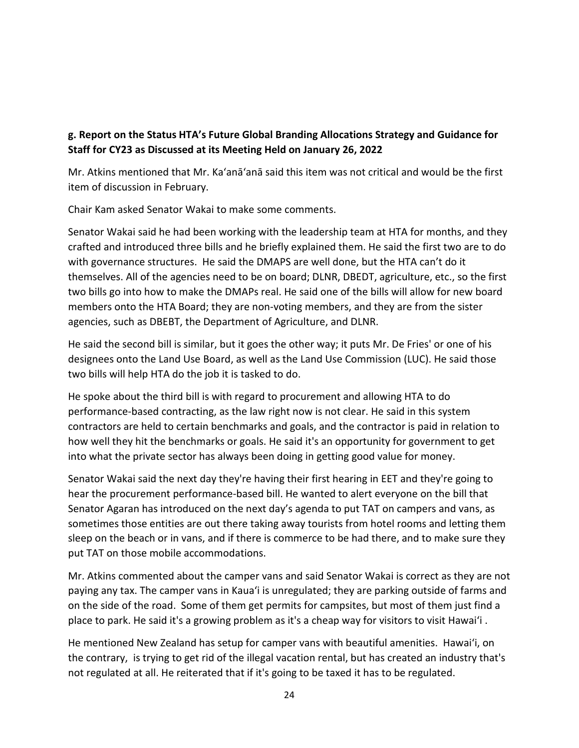# **g. Report on the Status HTA's Future Global Branding Allocations Strategy and Guidance for Staff for CY23 as Discussed at its Meeting Held on January 26, 2022**

Mr. Atkins mentioned that Mr. Ka'anā'anā said this item was not critical and would be the first item of discussion in February.

Chair Kam asked Senator Wakai to make some comments.

Senator Wakai said he had been working with the leadership team at HTA for months, and they crafted and introduced three bills and he briefly explained them. He said the first two are to do with governance structures. He said the DMAPS are well done, but the HTA can't do it themselves. All of the agencies need to be on board; DLNR, DBEDT, agriculture, etc., so the first two bills go into how to make the DMAPs real. He said one of the bills will allow for new board members onto the HTA Board; they are non-voting members, and they are from the sister agencies, such as DBEBT, the Department of Agriculture, and DLNR.

He said the second bill is similar, but it goes the other way; it puts Mr. De Fries' or one of his designees onto the Land Use Board, as well as the Land Use Commission (LUC). He said those two bills will help HTA do the job it is tasked to do.

He spoke about the third bill is with regard to procurement and allowing HTA to do performance-based contracting, as the law right now is not clear. He said in this system contractors are held to certain benchmarks and goals, and the contractor is paid in relation to how well they hit the benchmarks or goals. He said it's an opportunity for government to get into what the private sector has always been doing in getting good value for money.

Senator Wakai said the next day they're having their first hearing in EET and they're going to hear the procurement performance-based bill. He wanted to alert everyone on the bill that Senator Agaran has introduced on the next day's agenda to put TAT on campers and vans, as sometimes those entities are out there taking away tourists from hotel rooms and letting them sleep on the beach or in vans, and if there is commerce to be had there, and to make sure they put TAT on those mobile accommodations.

Mr. Atkins commented about the camper vans and said Senator Wakai is correct as they are not paying any tax. The camper vans in Kaua'i is unregulated; they are parking outside of farms and on the side of the road. Some of them get permits for campsites, but most of them just find a place to park. He said it's a growing problem as it's a cheap way for visitors to visit Hawai'i .

He mentioned New Zealand has setup for camper vans with beautiful amenities. Hawai'i, on the contrary, is trying to get rid of the illegal vacation rental, but has created an industry that's not regulated at all. He reiterated that if it's going to be taxed it has to be regulated.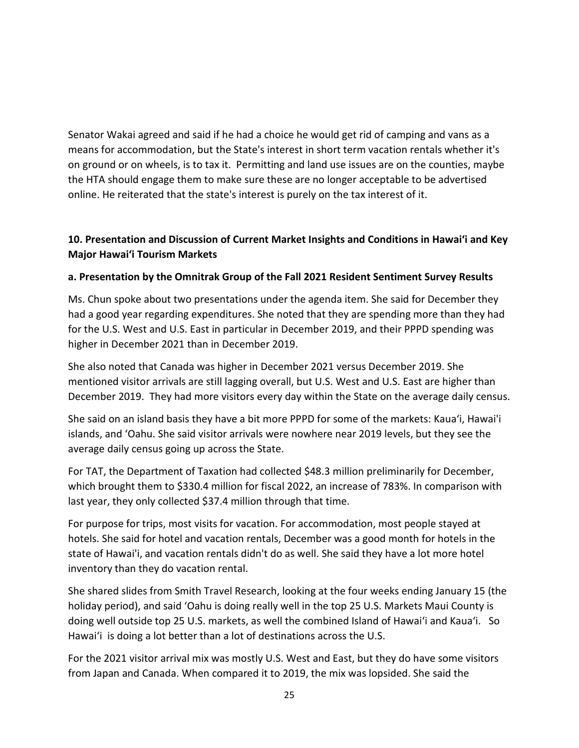Senator Wakai agreed and said if he had a choice he would get rid of camping and vans as a means for accommodation, but the State's interest in short term vacation rentals whether it's on ground or on wheels, is to tax it. Permitting and land use issues are on the counties, maybe the HTA should engage them to make sure these are no longer acceptable to be advertised online. He reiterated that the state's interest is purely on the tax interest of it.

## **10. Presentation and Discussion of Current Market Insights and Conditions in Hawai'i and Key Major Hawai'i Tourism Markets**

## **a. Presentation by the Omnitrak Group of the Fall 2021 Resident Sentiment Survey Results**

Ms. Chun spoke about two presentations under the agenda item. She said for December they had a good year regarding expenditures. She noted that they are spending more than they had for the U.S. West and U.S. East in particular in December 2019, and their PPPD spending was higher in December 2021 than in December 2019.

She also noted that Canada was higher in December 2021 versus December 2019. She mentioned visitor arrivals are still lagging overall, but U.S. West and U.S. East are higher than December 2019. They had more visitors every day within the State on the average daily census.

She said on an island basis they have a bit more PPPD for some of the markets: Kaua'i, Hawai'i islands, and 'Oahu. She said visitor arrivals were nowhere near 2019 levels, but they see the average daily census going up across the State.

For TAT, the Department of Taxation had collected \$48.3 million preliminarily for December, which brought them to \$330.4 million for fiscal 2022, an increase of 783%. In comparison with last year, they only collected \$37.4 million through that time.

For purpose for trips, most visits for vacation. For accommodation, most people stayed at hotels. She said for hotel and vacation rentals, December was a good month for hotels in the state of Hawai'i, and vacation rentals didn't do as well. She said they have a lot more hotel inventory than they do vacation rental.

She shared slides from Smith Travel Research, looking at the four weeks ending January 15 (the holiday period), and said 'Oahu is doing really well in the top 25 U.S. Markets Maui County is doing well outside top 25 U.S. markets, as well the combined Island of Hawai'i and Kaua'i. So Hawai'i is doing a lot better than a lot of destinations across the U.S.

For the 2021 visitor arrival mix was mostly U.S. West and East, but they do have some visitors from Japan and Canada. When compared it to 2019, the mix was lopsided. She said the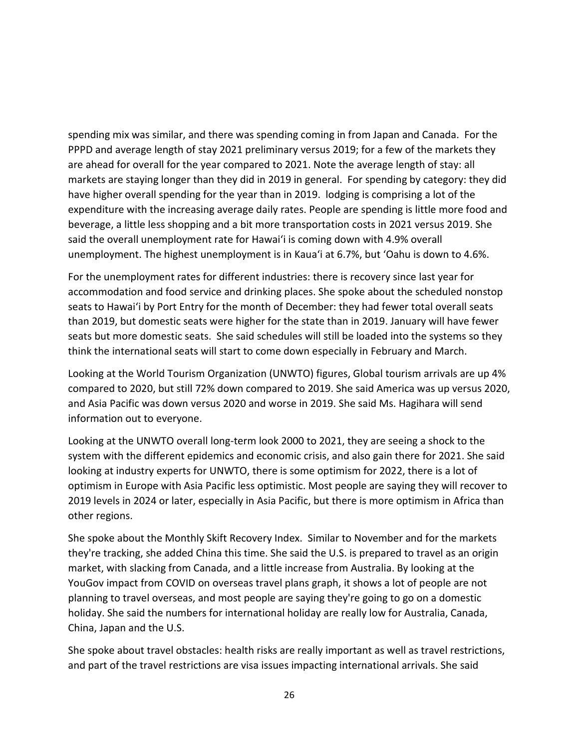spending mix was similar, and there was spending coming in from Japan and Canada. For the PPPD and average length of stay 2021 preliminary versus 2019; for a few of the markets they are ahead for overall for the year compared to 2021. Note the average length of stay: all markets are staying longer than they did in 2019 in general. For spending by category: they did have higher overall spending for the year than in 2019. lodging is comprising a lot of the expenditure with the increasing average daily rates. People are spending is little more food and beverage, a little less shopping and a bit more transportation costs in 2021 versus 2019. She said the overall unemployment rate for Hawai'i is coming down with 4.9% overall unemployment. The highest unemployment is in Kaua'i at 6.7%, but 'Oahu is down to 4.6%.

For the unemployment rates for different industries: there is recovery since last year for accommodation and food service and drinking places. She spoke about the scheduled nonstop seats to Hawai'i by Port Entry for the month of December: they had fewer total overall seats than 2019, but domestic seats were higher for the state than in 2019. January will have fewer seats but more domestic seats. She said schedules will still be loaded into the systems so they think the international seats will start to come down especially in February and March.

Looking at the World Tourism Organization (UNWTO) figures, Global tourism arrivals are up 4% compared to 2020, but still 72% down compared to 2019. She said America was up versus 2020, and Asia Pacific was down versus 2020 and worse in 2019. She said Ms. Hagihara will send information out to everyone.

Looking at the UNWTO overall long-term look 2000 to 2021, they are seeing a shock to the system with the different epidemics and economic crisis, and also gain there for 2021. She said looking at industry experts for UNWTO, there is some optimism for 2022, there is a lot of optimism in Europe with Asia Pacific less optimistic. Most people are saying they will recover to 2019 levels in 2024 or later, especially in Asia Pacific, but there is more optimism in Africa than other regions.

She spoke about the Monthly Skift Recovery Index. Similar to November and for the markets they're tracking, she added China this time. She said the U.S. is prepared to travel as an origin market, with slacking from Canada, and a little increase from Australia. By looking at the YouGov impact from COVID on overseas travel plans graph, it shows a lot of people are not planning to travel overseas, and most people are saying they're going to go on a domestic holiday. She said the numbers for international holiday are really low for Australia, Canada, China, Japan and the U.S.

She spoke about travel obstacles: health risks are really important as well as travel restrictions, and part of the travel restrictions are visa issues impacting international arrivals. She said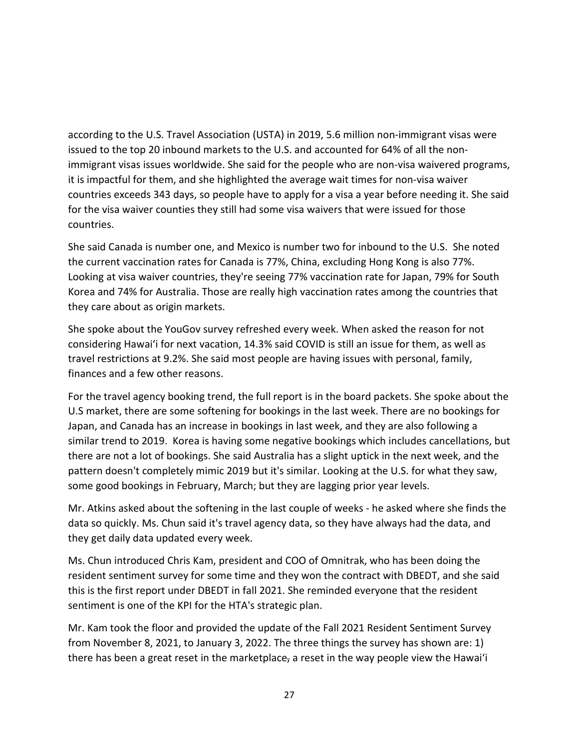according to the U.S. Travel Association (USTA) in 2019, 5.6 million non-immigrant visas were issued to the top 20 inbound markets to the U.S. and accounted for 64% of all the nonimmigrant visas issues worldwide. She said for the people who are non-visa waivered programs, it is impactful for them, and she highlighted the average wait times for non-visa waiver countries exceeds 343 days, so people have to apply for a visa a year before needing it. She said for the visa waiver counties they still had some visa waivers that were issued for those countries.

She said Canada is number one, and Mexico is number two for inbound to the U.S. She noted the current vaccination rates for Canada is 77%, China, excluding Hong Kong is also 77%. Looking at visa waiver countries, they're seeing 77% vaccination rate for Japan, 79% for South Korea and 74% for Australia. Those are really high vaccination rates among the countries that they care about as origin markets.

She spoke about the YouGov survey refreshed every week. When asked the reason for not considering Hawai'i for next vacation, 14.3% said COVID is still an issue for them, as well as travel restrictions at 9.2%. She said most people are having issues with personal, family, finances and a few other reasons.

For the travel agency booking trend, the full report is in the board packets. She spoke about the U.S market, there are some softening for bookings in the last week. There are no bookings for Japan, and Canada has an increase in bookings in last week, and they are also following a similar trend to 2019. Korea is having some negative bookings which includes cancellations, but there are not a lot of bookings. She said Australia has a slight uptick in the next week, and the pattern doesn't completely mimic 2019 but it's similar. Looking at the U.S. for what they saw, some good bookings in February, March; but they are lagging prior year levels.

Mr. Atkins asked about the softening in the last couple of weeks - he asked where she finds the data so quickly. Ms. Chun said it's travel agency data, so they have always had the data, and they get daily data updated every week.

Ms. Chun introduced Chris Kam, president and COO of Omnitrak, who has been doing the resident sentiment survey for some time and they won the contract with DBEDT, and she said this is the first report under DBEDT in fall 2021. She reminded everyone that the resident sentiment is one of the KPI for the HTA's strategic plan.

Mr. Kam took the floor and provided the update of the Fall 2021 Resident Sentiment Survey from November 8, 2021, to January 3, 2022. The three things the survey has shown are: 1) there has been a great reset in the marketplace, a reset in the way people view the Hawai'i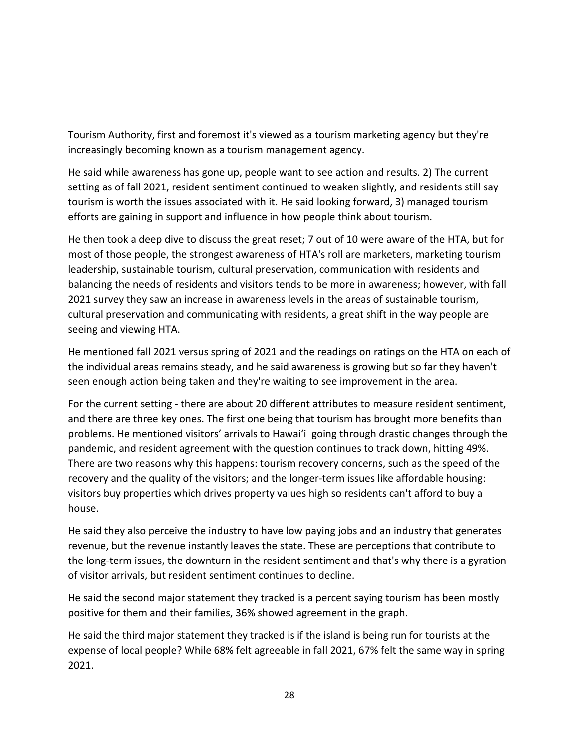Tourism Authority, first and foremost it's viewed as a tourism marketing agency but they're increasingly becoming known as a tourism management agency.

He said while awareness has gone up, people want to see action and results. 2) The current setting as of fall 2021, resident sentiment continued to weaken slightly, and residents still say tourism is worth the issues associated with it. He said looking forward, 3) managed tourism efforts are gaining in support and influence in how people think about tourism.

He then took a deep dive to discuss the great reset; 7 out of 10 were aware of the HTA, but for most of those people, the strongest awareness of HTA's roll are marketers, marketing tourism leadership, sustainable tourism, cultural preservation, communication with residents and balancing the needs of residents and visitors tends to be more in awareness; however, with fall 2021 survey they saw an increase in awareness levels in the areas of sustainable tourism, cultural preservation and communicating with residents, a great shift in the way people are seeing and viewing HTA.

He mentioned fall 2021 versus spring of 2021 and the readings on ratings on the HTA on each of the individual areas remains steady, and he said awareness is growing but so far they haven't seen enough action being taken and they're waiting to see improvement in the area.

For the current setting - there are about 20 different attributes to measure resident sentiment, and there are three key ones. The first one being that tourism has brought more benefits than problems. He mentioned visitors' arrivals to Hawai'i going through drastic changes through the pandemic, and resident agreement with the question continues to track down, hitting 49%. There are two reasons why this happens: tourism recovery concerns, such as the speed of the recovery and the quality of the visitors; and the longer-term issues like affordable housing: visitors buy properties which drives property values high so residents can't afford to buy a house.

He said they also perceive the industry to have low paying jobs and an industry that generates revenue, but the revenue instantly leaves the state. These are perceptions that contribute to the long-term issues, the downturn in the resident sentiment and that's why there is a gyration of visitor arrivals, but resident sentiment continues to decline.

He said the second major statement they tracked is a percent saying tourism has been mostly positive for them and their families, 36% showed agreement in the graph.

He said the third major statement they tracked is if the island is being run for tourists at the expense of local people? While 68% felt agreeable in fall 2021, 67% felt the same way in spring 2021.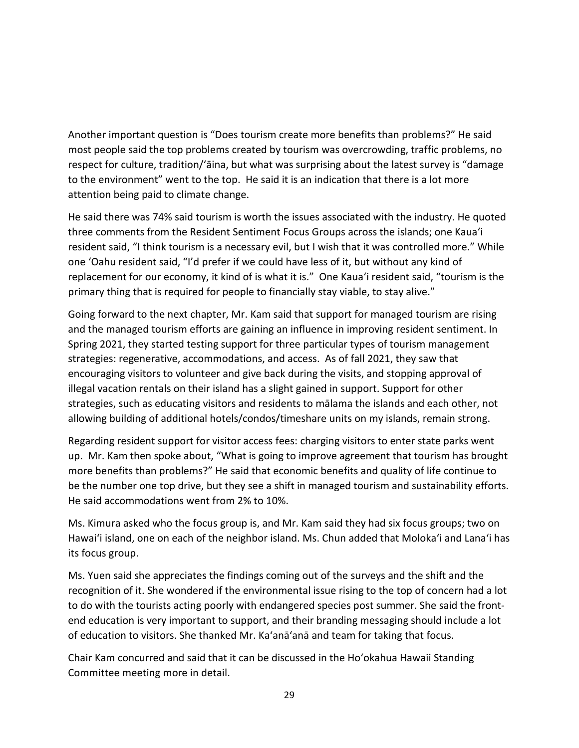Another important question is "Does tourism create more benefits than problems?" He said most people said the top problems created by tourism was overcrowding, traffic problems, no respect for culture, tradition/'āina, but what was surprising about the latest survey is "damage to the environment" went to the top. He said it is an indication that there is a lot more attention being paid to climate change.

He said there was 74% said tourism is worth the issues associated with the industry. He quoted three comments from the Resident Sentiment Focus Groups across the islands; one Kaua'i resident said, "I think tourism is a necessary evil, but I wish that it was controlled more." While one 'Oahu resident said, "I'd prefer if we could have less of it, but without any kind of replacement for our economy, it kind of is what it is." One Kaua'i resident said, "tourism is the primary thing that is required for people to financially stay viable, to stay alive."

Going forward to the next chapter, Mr. Kam said that support for managed tourism are rising and the managed tourism efforts are gaining an influence in improving resident sentiment. In Spring 2021, they started testing support for three particular types of tourism management strategies: regenerative, accommodations, and access. As of fall 2021, they saw that encouraging visitors to volunteer and give back during the visits, and stopping approval of illegal vacation rentals on their island has a slight gained in support. Support for other strategies, such as educating visitors and residents to mālama the islands and each other, not allowing building of additional hotels/condos/timeshare units on my islands, remain strong.

Regarding resident support for visitor access fees: charging visitors to enter state parks went up. Mr. Kam then spoke about, "What is going to improve agreement that tourism has brought more benefits than problems?" He said that economic benefits and quality of life continue to be the number one top drive, but they see a shift in managed tourism and sustainability efforts. He said accommodations went from 2% to 10%.

Ms. Kimura asked who the focus group is, and Mr. Kam said they had six focus groups; two on Hawai'i island, one on each of the neighbor island. Ms. Chun added that Moloka'i and Lana'i has its focus group.

Ms. Yuen said she appreciates the findings coming out of the surveys and the shift and the recognition of it. She wondered if the environmental issue rising to the top of concern had a lot to do with the tourists acting poorly with endangered species post summer. She said the frontend education is very important to support, and their branding messaging should include a lot of education to visitors. She thanked Mr. Ka'anā'anā and team for taking that focus.

Chair Kam concurred and said that it can be discussed in the Ho'okahua Hawaii Standing Committee meeting more in detail.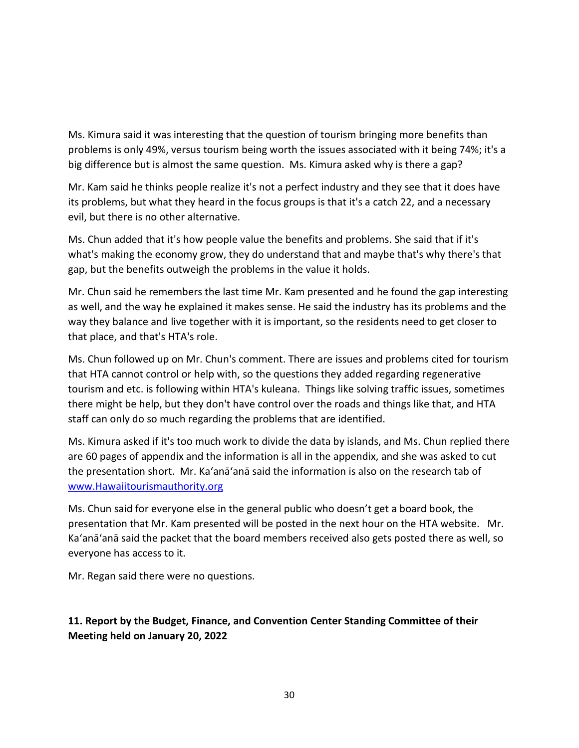Ms. Kimura said it was interesting that the question of tourism bringing more benefits than problems is only 49%, versus tourism being worth the issues associated with it being 74%; it's a big difference but is almost the same question. Ms. Kimura asked why is there a gap?

Mr. Kam said he thinks people realize it's not a perfect industry and they see that it does have its problems, but what they heard in the focus groups is that it's a catch 22, and a necessary evil, but there is no other alternative.

Ms. Chun added that it's how people value the benefits and problems. She said that if it's what's making the economy grow, they do understand that and maybe that's why there's that gap, but the benefits outweigh the problems in the value it holds.

Mr. Chun said he remembers the last time Mr. Kam presented and he found the gap interesting as well, and the way he explained it makes sense. He said the industry has its problems and the way they balance and live together with it is important, so the residents need to get closer to that place, and that's HTA's role.

Ms. Chun followed up on Mr. Chun's comment. There are issues and problems cited for tourism that HTA cannot control or help with, so the questions they added regarding regenerative tourism and etc. is following within HTA's kuleana. Things like solving traffic issues, sometimes there might be help, but they don't have control over the roads and things like that, and HTA staff can only do so much regarding the problems that are identified.

Ms. Kimura asked if it's too much work to divide the data by islands, and Ms. Chun replied there are 60 pages of appendix and the information is all in the appendix, and she was asked to cut the presentation short. Mr. Ka'anā'anā said the information is also on the research tab of www.Hawaiitourismauthority.org

Ms. Chun said for everyone else in the general public who doesn't get a board book, the presentation that Mr. Kam presented will be posted in the next hour on the HTA website. Mr. Ka'anā'anā said the packet that the board members received also gets posted there as well, so everyone has access to it.

Mr. Regan said there were no questions.

# **11. Report by the Budget, Finance, and Convention Center Standing Committee of their Meeting held on January 20, 2022**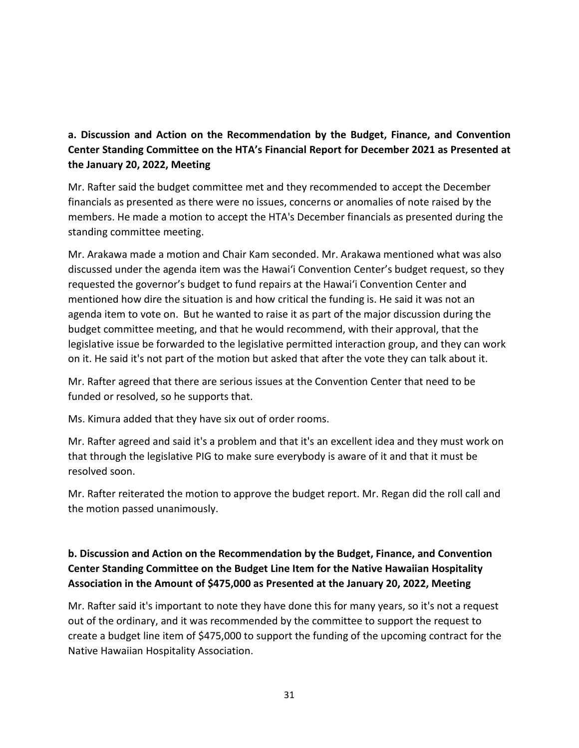# **a. Discussion and Action on the Recommendation by the Budget, Finance, and Convention Center Standing Committee on the HTA's Financial Report for December 2021 as Presented at the January 20, 2022, Meeting**

Mr. Rafter said the budget committee met and they recommended to accept the December financials as presented as there were no issues, concerns or anomalies of note raised by the members. He made a motion to accept the HTA's December financials as presented during the standing committee meeting.

Mr. Arakawa made a motion and Chair Kam seconded. Mr. Arakawa mentioned what was also discussed under the agenda item was the Hawai'i Convention Center's budget request, so they requested the governor's budget to fund repairs at the Hawai'i Convention Center and mentioned how dire the situation is and how critical the funding is. He said it was not an agenda item to vote on. But he wanted to raise it as part of the major discussion during the budget committee meeting, and that he would recommend, with their approval, that the legislative issue be forwarded to the legislative permitted interaction group, and they can work on it. He said it's not part of the motion but asked that after the vote they can talk about it.

Mr. Rafter agreed that there are serious issues at the Convention Center that need to be funded or resolved, so he supports that.

Ms. Kimura added that they have six out of order rooms.

Mr. Rafter agreed and said it's a problem and that it's an excellent idea and they must work on that through the legislative PIG to make sure everybody is aware of it and that it must be resolved soon.

Mr. Rafter reiterated the motion to approve the budget report. Mr. Regan did the roll call and the motion passed unanimously.

# **b. Discussion and Action on the Recommendation by the Budget, Finance, and Convention Center Standing Committee on the Budget Line Item for the Native Hawaiian Hospitality Association in the Amount of \$475,000 as Presented at the January 20, 2022, Meeting**

Mr. Rafter said it's important to note they have done this for many years, so it's not a request out of the ordinary, and it was recommended by the committee to support the request to create a budget line item of \$475,000 to support the funding of the upcoming contract for the Native Hawaiian Hospitality Association.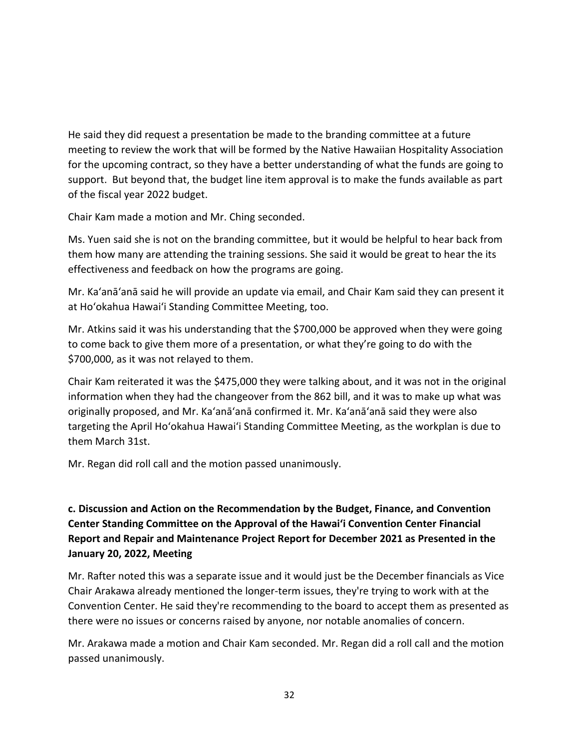He said they did request a presentation be made to the branding committee at a future meeting to review the work that will be formed by the Native Hawaiian Hospitality Association for the upcoming contract, so they have a better understanding of what the funds are going to support. But beyond that, the budget line item approval is to make the funds available as part of the fiscal year 2022 budget.

Chair Kam made a motion and Mr. Ching seconded.

Ms. Yuen said she is not on the branding committee, but it would be helpful to hear back from them how many are attending the training sessions. She said it would be great to hear the its effectiveness and feedback on how the programs are going.

Mr. Ka'anā'anā said he will provide an update via email, and Chair Kam said they can present it at Ho'okahua Hawai'i Standing Committee Meeting, too.

Mr. Atkins said it was his understanding that the \$700,000 be approved when they were going to come back to give them more of a presentation, or what they're going to do with the \$700,000, as it was not relayed to them.

Chair Kam reiterated it was the \$475,000 they were talking about, and it was not in the original information when they had the changeover from the 862 bill, and it was to make up what was originally proposed, and Mr. Ka'anā'anā confirmed it. Mr. Ka'anā'anā said they were also targeting the April Ho'okahua Hawai'i Standing Committee Meeting, as the workplan is due to them March 31st.

Mr. Regan did roll call and the motion passed unanimously.

# **c. Discussion and Action on the Recommendation by the Budget, Finance, and Convention Center Standing Committee on the Approval of the Hawai'i Convention Center Financial Report and Repair and Maintenance Project Report for December 2021 as Presented in the January 20, 2022, Meeting**

Mr. Rafter noted this was a separate issue and it would just be the December financials as Vice Chair Arakawa already mentioned the longer-term issues, they're trying to work with at the Convention Center. He said they're recommending to the board to accept them as presented as there were no issues or concerns raised by anyone, nor notable anomalies of concern.

Mr. Arakawa made a motion and Chair Kam seconded. Mr. Regan did a roll call and the motion passed unanimously.